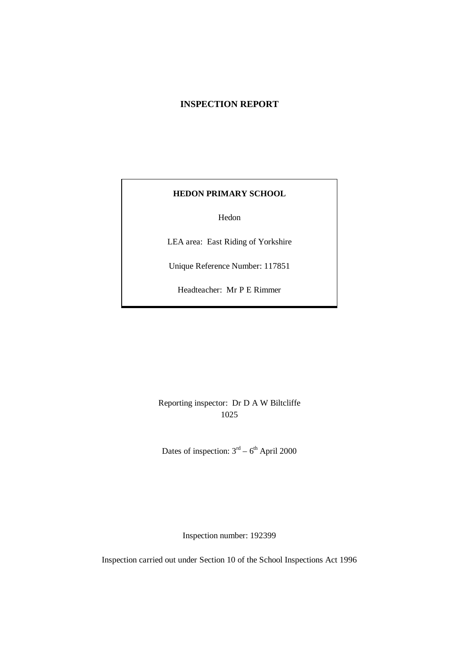# **INSPECTION REPORT**

## **HEDON PRIMARY SCHOOL**

Hedon

LEA area: East Riding of Yorkshire

Unique Reference Number: 117851

Headteacher: Mr P E Rimmer

Reporting inspector: Dr D A W Biltcliffe 1025

Dates of inspection:  $3<sup>rd</sup> - 6<sup>th</sup>$  April 2000

Inspection number: 192399

Inspection carried out under Section 10 of the School Inspections Act 1996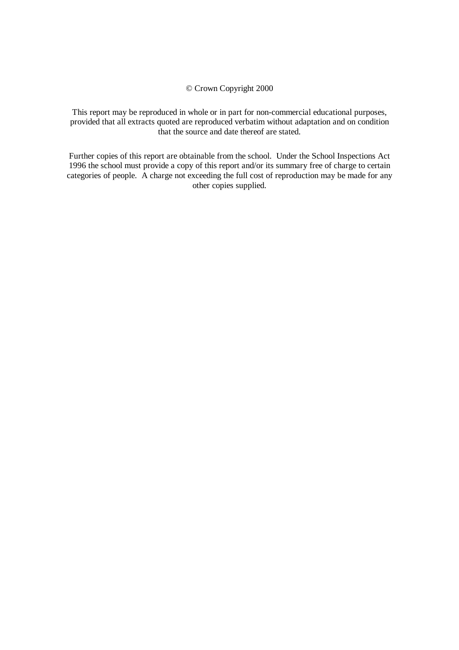#### © Crown Copyright 2000

This report may be reproduced in whole or in part for non-commercial educational purposes, provided that all extracts quoted are reproduced verbatim without adaptation and on condition that the source and date thereof are stated.

Further copies of this report are obtainable from the school. Under the School Inspections Act 1996 the school must provide a copy of this report and/or its summary free of charge to certain categories of people. A charge not exceeding the full cost of reproduction may be made for any other copies supplied.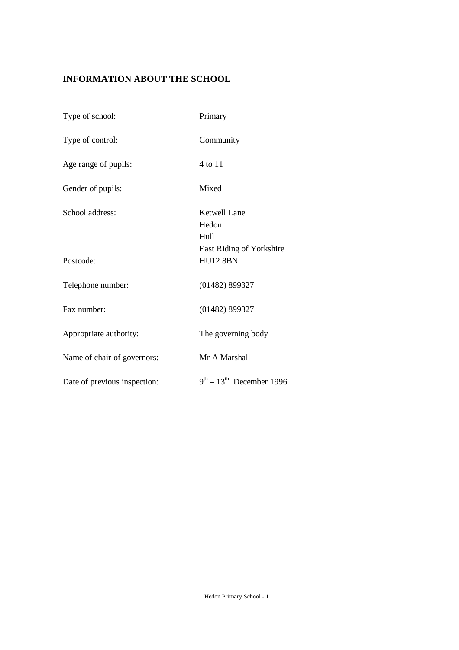# **INFORMATION ABOUT THE SCHOOL**

| Type of school:              | Primary                                     |
|------------------------------|---------------------------------------------|
| Type of control:             | Community                                   |
| Age range of pupils:         | 4 to 11                                     |
| Gender of pupils:            | Mixed                                       |
| School address:              | Ketwell Lane<br>Hedon<br>Hull               |
| Postcode:                    | East Riding of Yorkshire<br><b>HU12 8BN</b> |
| Telephone number:            | $(01482)$ 899327                            |
| Fax number:                  | (01482) 899327                              |
| Appropriate authority:       | The governing body                          |
| Name of chair of governors:  | Mr A Marshall                               |
| Date of previous inspection: | $9th - 13th$ December 1996                  |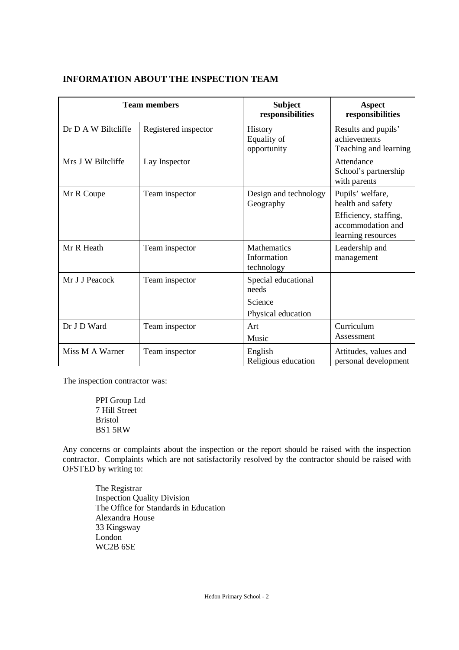|                     | <b>Team members</b>  | <b>Subject</b><br>responsibilities                            | <b>Aspect</b><br>responsibilities                                                                         |
|---------------------|----------------------|---------------------------------------------------------------|-----------------------------------------------------------------------------------------------------------|
| Dr D A W Biltcliffe | Registered inspector | <b>History</b><br>Equality of<br>opportunity                  | Results and pupils'<br>achievements<br>Teaching and learning                                              |
| Mrs J W Biltcliffe  | Lay Inspector        |                                                               | Attendance<br>School's partnership<br>with parents                                                        |
| Mr R Coupe          | Team inspector       | Design and technology<br>Geography                            | Pupils' welfare,<br>health and safety<br>Efficiency, staffing,<br>accommodation and<br>learning resources |
| Mr R Heath          | Team inspector       | <b>Mathematics</b><br>Information<br>technology               | Leadership and<br>management                                                                              |
| Mr J J Peacock      | Team inspector       | Special educational<br>needs<br>Science<br>Physical education |                                                                                                           |
| Dr J D Ward         | Team inspector       | Art<br>Music                                                  | Curriculum<br>Assessment                                                                                  |
| Miss M A Warner     | Team inspector       | English<br>Religious education                                | Attitudes, values and<br>personal development                                                             |

# **INFORMATION ABOUT THE INSPECTION TEAM**

The inspection contractor was:

PPI Group Ltd 7 Hill Street Bristol BS1 5RW

Any concerns or complaints about the inspection or the report should be raised with the inspection contractor. Complaints which are not satisfactorily resolved by the contractor should be raised with OFSTED by writing to:

The Registrar Inspection Quality Division The Office for Standards in Education Alexandra House 33 Kingsway London WC2B 6SE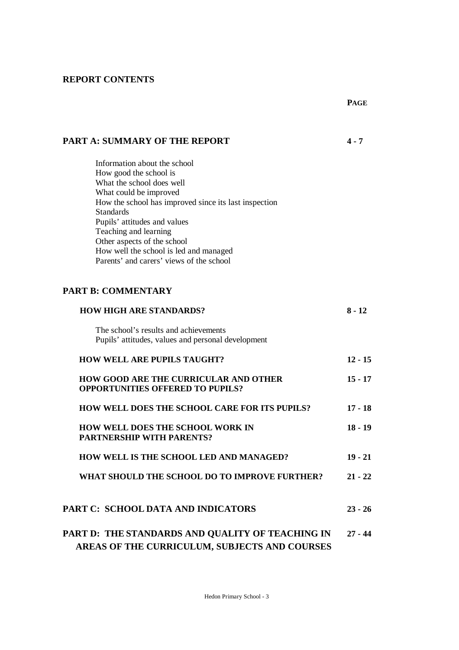# **REPORT CONTENTS**

### **PART A: SUMMARY OF THE REPORT 4 - 7**

Information about the school How good the school is What the school does well What could be improved How the school has improved since its last inspection Standards Pupils' attitudes and values Teaching and learning Other aspects of the school How well the school is led and managed Parents' and carers' views of the school

## **PART B: COMMENTARY**

| <b>HOW HIGH ARE STANDARDS?</b>                                                                    | $8 - 12$  |
|---------------------------------------------------------------------------------------------------|-----------|
| The school's results and achievements<br>Pupils' attitudes, values and personal development       |           |
| <b>HOW WELL ARE PUPILS TAUGHT?</b>                                                                | $12 - 15$ |
| <b>HOW GOOD ARE THE CURRICULAR AND OTHER</b><br><b>OPPORTUNITIES OFFERED TO PUPILS?</b>           | $15 - 17$ |
| <b>HOW WELL DOES THE SCHOOL CARE FOR ITS PUPILS?</b>                                              | $17 - 18$ |
| <b>HOW WELL DOES THE SCHOOL WORK IN</b><br><b>PARTNERSHIP WITH PARENTS?</b>                       | $18 - 19$ |
| HOW WELL IS THE SCHOOL LED AND MANAGED?                                                           | $19 - 21$ |
| WHAT SHOULD THE SCHOOL DO TO IMPROVE FURTHER?                                                     | $21 - 22$ |
| PART C: SCHOOL DATA AND INDICATORS                                                                | $23 - 26$ |
| PART D: THE STANDARDS AND QUALITY OF TEACHING IN<br>AREAS OF THE CURRICULUM, SUBJECTS AND COURSES | $27 - 44$ |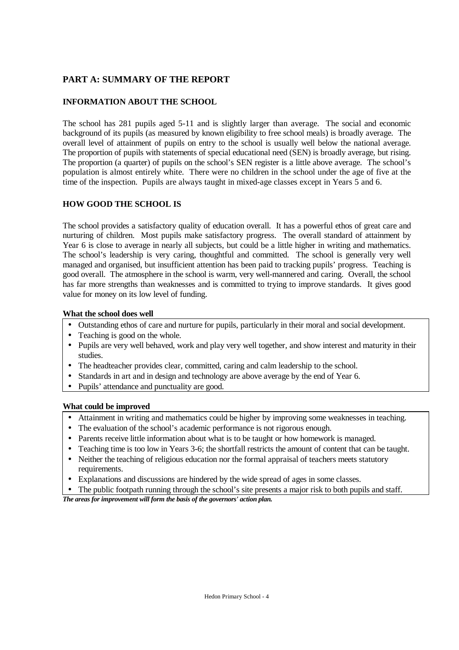# **PART A: SUMMARY OF THE REPORT**

# **INFORMATION ABOUT THE SCHOOL**

The school has 281 pupils aged 5-11 and is slightly larger than average. The social and economic background of its pupils (as measured by known eligibility to free school meals) is broadly average. The overall level of attainment of pupils on entry to the school is usually well below the national average. The proportion of pupils with statements of special educational need (SEN) is broadly average, but rising. The proportion (a quarter) of pupils on the school's SEN register is a little above average. The school's population is almost entirely white. There were no children in the school under the age of five at the time of the inspection. Pupils are always taught in mixed-age classes except in Years 5 and 6.

# **HOW GOOD THE SCHOOL IS**

The school provides a satisfactory quality of education overall. It has a powerful ethos of great care and nurturing of children. Most pupils make satisfactory progress. The overall standard of attainment by Year 6 is close to average in nearly all subjects, but could be a little higher in writing and mathematics. The school's leadership is very caring, thoughtful and committed. The school is generally very well managed and organised, but insufficient attention has been paid to tracking pupils' progress. Teaching is good overall. The atmosphere in the school is warm, very well-mannered and caring. Overall, the school has far more strengths than weaknesses and is committed to trying to improve standards. It gives good value for money on its low level of funding.

## **What the school does well**

- Outstanding ethos of care and nurture for pupils, particularly in their moral and social development.
- Teaching is good on the whole.
- Pupils are very well behaved, work and play very well together, and show interest and maturity in their studies.
- The headteacher provides clear, committed, caring and calm leadership to the school.
- Standards in art and in design and technology are above average by the end of Year 6.
- Pupils' attendance and punctuality are good.

# **What could be improved**

- Attainment in writing and mathematics could be higher by improving some weaknesses in teaching.
- The evaluation of the school's academic performance is not rigorous enough.
- Parents receive little information about what is to be taught or how homework is managed.
- Teaching time is too low in Years 3-6; the shortfall restricts the amount of content that can be taught.
- Neither the teaching of religious education nor the formal appraisal of teachers meets statutory requirements.
- Explanations and discussions are hindered by the wide spread of ages in some classes.
- The public footpath running through the school's site presents a major risk to both pupils and staff.

*The areas for improvement will form the basis of the governors' action plan.*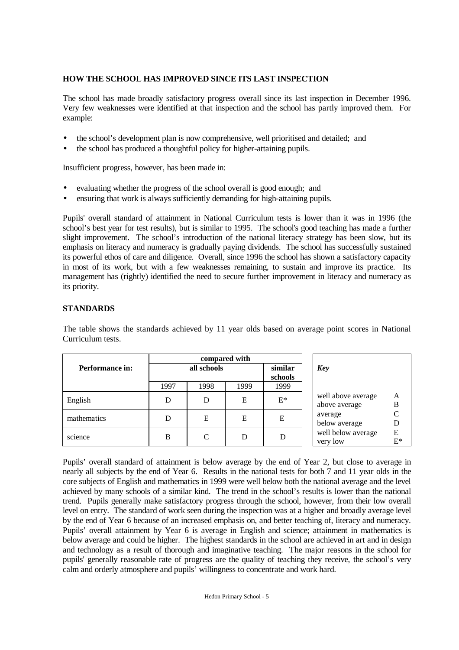# **HOW THE SCHOOL HAS IMPROVED SINCE ITS LAST INSPECTION**

The school has made broadly satisfactory progress overall since its last inspection in December 1996. Very few weaknesses were identified at that inspection and the school has partly improved them. For example:

- the school's development plan is now comprehensive, well prioritised and detailed; and
- the school has produced a thoughtful policy for higher-attaining pupils.

Insufficient progress, however, has been made in:

- evaluating whether the progress of the school overall is good enough; and
- ensuring that work is always sufficiently demanding for high-attaining pupils.

Pupils' overall standard of attainment in National Curriculum tests is lower than it was in 1996 (the school's best year for test results), but is similar to 1995. The school's good teaching has made a further slight improvement. The school's introduction of the national literacy strategy has been slow, but its emphasis on literacy and numeracy is gradually paying dividends. The school has successfully sustained its powerful ethos of care and diligence. Overall, since 1996 the school has shown a satisfactory capacity in most of its work, but with a few weaknesses remaining, to sustain and improve its practice. Its management has (rightly) identified the need to secure further improvement in literacy and numeracy as its priority.

## **STANDARDS**

The table shows the standards achieved by 11 year olds based on average point scores in National Curriculum tests.

|                        |      |             | compared with |                    |                                     |         |
|------------------------|------|-------------|---------------|--------------------|-------------------------------------|---------|
| <b>Performance in:</b> |      | all schools |               | similar<br>schools | Key                                 |         |
|                        | 1997 | 1998        | 1999          | 1999               |                                     |         |
| English                | D    | D           | Е             | $E^*$              | well above average<br>above average | A<br>B  |
| mathematics            | D    | Е           | E             | Е                  | average<br>below average            |         |
| science                | B    |             |               |                    | well below average<br>very low      | E<br>E* |

Pupils' overall standard of attainment is below average by the end of Year 2, but close to average in nearly all subjects by the end of Year 6. Results in the national tests for both 7 and 11 year olds in the core subjects of English and mathematics in 1999 were well below both the national average and the level achieved by many schools of a similar kind. The trend in the school's results is lower than the national trend. Pupils generally make satisfactory progress through the school, however, from their low overall level on entry. The standard of work seen during the inspection was at a higher and broadly average level by the end of Year 6 because of an increased emphasis on, and better teaching of, literacy and numeracy. Pupils' overall attainment by Year 6 is average in English and science; attainment in mathematics is below average and could be higher. The highest standards in the school are achieved in art and in design and technology as a result of thorough and imaginative teaching. The major reasons in the school for pupils' generally reasonable rate of progress are the quality of teaching they receive, the school's very calm and orderly atmosphere and pupils' willingness to concentrate and work hard.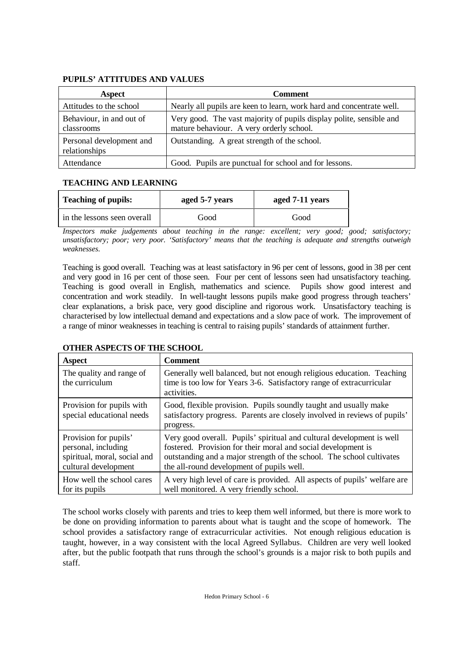## **PUPILS' ATTITUDES AND VALUES**

| <b>Aspect</b>                             | <b>Comment</b>                                                                                                  |
|-------------------------------------------|-----------------------------------------------------------------------------------------------------------------|
| Attitudes to the school                   | Nearly all pupils are keen to learn, work hard and concentrate well.                                            |
| Behaviour, in and out of<br>classrooms    | Very good. The vast majority of pupils display polite, sensible and<br>mature behaviour. A very orderly school. |
| Personal development and<br>relationships | Outstanding. A great strength of the school.                                                                    |
| Attendance                                | Good. Pupils are punctual for school and for lessons.                                                           |

# **TEACHING AND LEARNING**

| <b>Teaching of pupils:</b>  | aged 5-7 years | aged 7-11 years |
|-----------------------------|----------------|-----------------|
| in the lessons seen overall | Good           | Good            |

*Inspectors make judgements about teaching in the range: excellent; very good; good; satisfactory; unsatisfactory; poor; very poor. 'Satisfactory' means that the teaching is adequate and strengths outweigh weaknesses.*

Teaching is good overall. Teaching was at least satisfactory in 96 per cent of lessons, good in 38 per cent and very good in 16 per cent of those seen. Four per cent of lessons seen had unsatisfactory teaching. Teaching is good overall in English, mathematics and science. Pupils show good interest and concentration and work steadily. In well-taught lessons pupils make good progress through teachers' clear explanations, a brisk pace, very good discipline and rigorous work. Unsatisfactory teaching is characterised by low intellectual demand and expectations and a slow pace of work. The improvement of a range of minor weaknesses in teaching is central to raising pupils' standards of attainment further.

| <b>Aspect</b>                                                                                        | <b>Comment</b>                                                                                                                                                                                                                                               |
|------------------------------------------------------------------------------------------------------|--------------------------------------------------------------------------------------------------------------------------------------------------------------------------------------------------------------------------------------------------------------|
| The quality and range of<br>the curriculum                                                           | Generally well balanced, but not enough religious education. Teaching<br>time is too low for Years 3-6. Satisfactory range of extracurricular<br>activities.                                                                                                 |
| Provision for pupils with<br>special educational needs                                               | Good, flexible provision. Pupils soundly taught and usually make<br>satisfactory progress. Parents are closely involved in reviews of pupils'<br>progress.                                                                                                   |
| Provision for pupils'<br>personal, including<br>spiritual, moral, social and<br>cultural development | Very good overall. Pupils' spiritual and cultural development is well<br>fostered. Provision for their moral and social development is<br>outstanding and a major strength of the school. The school cultivates<br>the all-round development of pupils well. |
| How well the school cares<br>for its pupils                                                          | A very high level of care is provided. All aspects of pupils' welfare are<br>well monitored. A very friendly school.                                                                                                                                         |

# **OTHER ASPECTS OF THE SCHOOL**

The school works closely with parents and tries to keep them well informed, but there is more work to be done on providing information to parents about what is taught and the scope of homework. The school provides a satisfactory range of extracurricular activities. Not enough religious education is taught, however, in a way consistent with the local Agreed Syllabus. Children are very well looked after, but the public footpath that runs through the school's grounds is a major risk to both pupils and staff.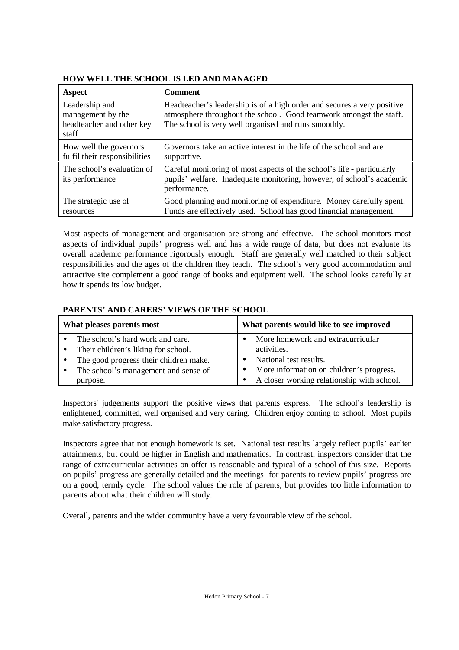# **HOW WELL THE SCHOOL IS LED AND MANAGED**

| Aspect                                                                    | <b>Comment</b>                                                                                                                                                                                        |
|---------------------------------------------------------------------------|-------------------------------------------------------------------------------------------------------------------------------------------------------------------------------------------------------|
| Leadership and<br>management by the<br>headteacher and other key<br>staff | Headteacher's leadership is of a high order and secures a very positive<br>atmosphere throughout the school. Good teamwork amongst the staff.<br>The school is very well organised and runs smoothly. |
| How well the governors<br>fulfil their responsibilities                   | Governors take an active interest in the life of the school and are<br>supportive.                                                                                                                    |
| The school's evaluation of<br>its performance                             | Careful monitoring of most aspects of the school's life - particularly<br>pupils' welfare. Inadequate monitoring, however, of school's academic<br>performance.                                       |
| The strategic use of<br>resources                                         | Good planning and monitoring of expenditure. Money carefully spent.<br>Funds are effectively used. School has good financial management.                                                              |

Most aspects of management and organisation are strong and effective. The school monitors most aspects of individual pupils' progress well and has a wide range of data, but does not evaluate its overall academic performance rigorously enough. Staff are generally well matched to their subject responsibilities and the ages of the children they teach. The school's very good accommodation and attractive site complement a good range of books and equipment well. The school looks carefully at how it spends its low budget.

# **PARENTS' AND CARERS' VIEWS OF THE SCHOOL**

| What pleases parents most |                                        | What parents would like to see improved    |
|---------------------------|----------------------------------------|--------------------------------------------|
|                           | The school's hard work and care.       | More homework and extracurricular          |
| $\bullet$                 | Their children's liking for school.    | activities.                                |
| $\bullet$                 | The good progress their children make. | National test results.                     |
| $\bullet$                 | The school's management and sense of   | More information on children's progress.   |
|                           | purpose.                               | A closer working relationship with school. |

Inspectors' judgements support the positive views that parents express. The school's leadership is enlightened, committed, well organised and very caring. Children enjoy coming to school. Most pupils make satisfactory progress.

Inspectors agree that not enough homework is set. National test results largely reflect pupils' earlier attainments, but could be higher in English and mathematics. In contrast, inspectors consider that the range of extracurricular activities on offer is reasonable and typical of a school of this size. Reports on pupils' progress are generally detailed and the meetings for parents to review pupils' progress are on a good, termly cycle. The school values the role of parents, but provides too little information to parents about what their children will study.

Overall, parents and the wider community have a very favourable view of the school.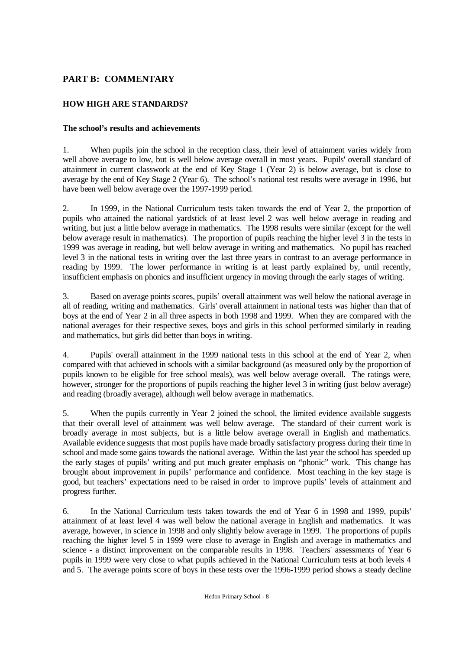# **PART B: COMMENTARY**

# **HOW HIGH ARE STANDARDS?**

## **The school's results and achievements**

1. When pupils join the school in the reception class, their level of attainment varies widely from well above average to low, but is well below average overall in most years. Pupils' overall standard of attainment in current classwork at the end of Key Stage 1 (Year 2) is below average, but is close to average by the end of Key Stage 2 (Year 6). The school's national test results were average in 1996, but have been well below average over the 1997-1999 period.

2. In 1999, in the National Curriculum tests taken towards the end of Year 2, the proportion of pupils who attained the national yardstick of at least level 2 was well below average in reading and writing, but just a little below average in mathematics. The 1998 results were similar (except for the well below average result in mathematics). The proportion of pupils reaching the higher level 3 in the tests in 1999 was average in reading, but well below average in writing and mathematics. No pupil has reached level 3 in the national tests in writing over the last three years in contrast to an average performance in reading by 1999. The lower performance in writing is at least partly explained by, until recently, insufficient emphasis on phonics and insufficient urgency in moving through the early stages of writing.

3. Based on average points scores, pupils' overall attainment was well below the national average in all of reading, writing and mathematics. Girls' overall attainment in national tests was higher than that of boys at the end of Year 2 in all three aspects in both 1998 and 1999. When they are compared with the national averages for their respective sexes, boys and girls in this school performed similarly in reading and mathematics, but girls did better than boys in writing.

4. Pupils' overall attainment in the 1999 national tests in this school at the end of Year 2, when compared with that achieved in schools with a similar background (as measured only by the proportion of pupils known to be eligible for free school meals), was well below average overall. The ratings were, however, stronger for the proportions of pupils reaching the higher level 3 in writing (just below average) and reading (broadly average), although well below average in mathematics.

5. When the pupils currently in Year 2 joined the school, the limited evidence available suggests that their overall level of attainment was well below average. The standard of their current work is broadly average in most subjects, but is a little below average overall in English and mathematics. Available evidence suggests that most pupils have made broadly satisfactory progress during their time in school and made some gains towards the national average. Within the last year the school has speeded up the early stages of pupils' writing and put much greater emphasis on "phonic" work. This change has brought about improvement in pupils' performance and confidence. Most teaching in the key stage is good, but teachers' expectations need to be raised in order to improve pupils' levels of attainment and progress further.

6. In the National Curriculum tests taken towards the end of Year 6 in 1998 and 1999, pupils' attainment of at least level 4 was well below the national average in English and mathematics. It was average, however, in science in 1998 and only slightly below average in 1999. The proportions of pupils reaching the higher level 5 in 1999 were close to average in English and average in mathematics and science - a distinct improvement on the comparable results in 1998. Teachers' assessments of Year 6 pupils in 1999 were very close to what pupils achieved in the National Curriculum tests at both levels 4 and 5. The average points score of boys in these tests over the 1996-1999 period shows a steady decline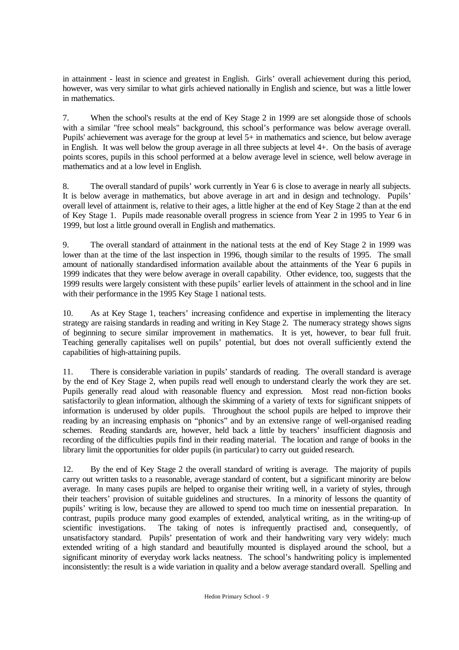in attainment - least in science and greatest in English. Girls' overall achievement during this period, however, was very similar to what girls achieved nationally in English and science, but was a little lower in mathematics.

7. When the school's results at the end of Key Stage 2 in 1999 are set alongside those of schools with a similar "free school meals" background, this school's performance was below average overall. Pupils' achievement was average for the group at level 5+ in mathematics and science, but below average in English. It was well below the group average in all three subjects at level 4+. On the basis of average points scores, pupils in this school performed at a below average level in science, well below average in mathematics and at a low level in English.

8. The overall standard of pupils' work currently in Year 6 is close to average in nearly all subjects. It is below average in mathematics, but above average in art and in design and technology. Pupils' overall level of attainment is, relative to their ages, a little higher at the end of Key Stage 2 than at the end of Key Stage 1. Pupils made reasonable overall progress in science from Year 2 in 1995 to Year 6 in 1999, but lost a little ground overall in English and mathematics.

9. The overall standard of attainment in the national tests at the end of Key Stage 2 in 1999 was lower than at the time of the last inspection in 1996, though similar to the results of 1995. The small amount of nationally standardised information available about the attainments of the Year 6 pupils in 1999 indicates that they were below average in overall capability. Other evidence, too, suggests that the 1999 results were largely consistent with these pupils' earlier levels of attainment in the school and in line with their performance in the 1995 Key Stage 1 national tests.

10. As at Key Stage 1, teachers' increasing confidence and expertise in implementing the literacy strategy are raising standards in reading and writing in Key Stage 2. The numeracy strategy shows signs of beginning to secure similar improvement in mathematics. It is yet, however, to bear full fruit. Teaching generally capitalises well on pupils' potential, but does not overall sufficiently extend the capabilities of high-attaining pupils.

11. There is considerable variation in pupils' standards of reading. The overall standard is average by the end of Key Stage 2, when pupils read well enough to understand clearly the work they are set. Pupils generally read aloud with reasonable fluency and expression. Most read non-fiction books satisfactorily to glean information, although the skimming of a variety of texts for significant snippets of information is underused by older pupils. Throughout the school pupils are helped to improve their reading by an increasing emphasis on "phonics" and by an extensive range of well-organised reading schemes. Reading standards are, however, held back a little by teachers' insufficient diagnosis and recording of the difficulties pupils find in their reading material. The location and range of books in the library limit the opportunities for older pupils (in particular) to carry out guided research.

12. By the end of Key Stage 2 the overall standard of writing is average. The majority of pupils carry out written tasks to a reasonable, average standard of content, but a significant minority are below average. In many cases pupils are helped to organise their writing well, in a variety of styles, through their teachers' provision of suitable guidelines and structures. In a minority of lessons the quantity of pupils' writing is low, because they are allowed to spend too much time on inessential preparation. In contrast, pupils produce many good examples of extended, analytical writing, as in the writing-up of scientific investigations. The taking of notes is infrequently practised and, consequently, of The taking of notes is infrequently practised and, consequently, of unsatisfactory standard. Pupils' presentation of work and their handwriting vary very widely: much extended writing of a high standard and beautifully mounted is displayed around the school, but a significant minority of everyday work lacks neatness. The school's handwriting policy is implemented inconsistently: the result is a wide variation in quality and a below average standard overall. Spelling and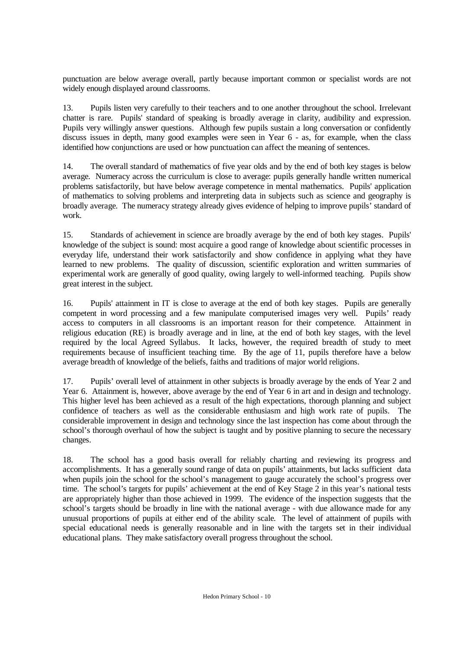punctuation are below average overall, partly because important common or specialist words are not widely enough displayed around classrooms.

13. Pupils listen very carefully to their teachers and to one another throughout the school. Irrelevant chatter is rare. Pupils' standard of speaking is broadly average in clarity, audibility and expression. Pupils very willingly answer questions. Although few pupils sustain a long conversation or confidently discuss issues in depth, many good examples were seen in Year 6 - as, for example, when the class identified how conjunctions are used or how punctuation can affect the meaning of sentences.

14. The overall standard of mathematics of five year olds and by the end of both key stages is below average. Numeracy across the curriculum is close to average: pupils generally handle written numerical problems satisfactorily, but have below average competence in mental mathematics. Pupils' application of mathematics to solving problems and interpreting data in subjects such as science and geography is broadly average. The numeracy strategy already gives evidence of helping to improve pupils' standard of work.

15. Standards of achievement in science are broadly average by the end of both key stages. Pupils' knowledge of the subject is sound: most acquire a good range of knowledge about scientific processes in everyday life, understand their work satisfactorily and show confidence in applying what they have learned to new problems. The quality of discussion, scientific exploration and written summaries of experimental work are generally of good quality, owing largely to well-informed teaching. Pupils show great interest in the subject.

16. Pupils' attainment in IT is close to average at the end of both key stages. Pupils are generally competent in word processing and a few manipulate computerised images very well. Pupils' ready access to computers in all classrooms is an important reason for their competence. Attainment in religious education (RE) is broadly average and in line, at the end of both key stages, with the level required by the local Agreed Syllabus. It lacks, however, the required breadth of study to meet requirements because of insufficient teaching time. By the age of 11, pupils therefore have a below average breadth of knowledge of the beliefs, faiths and traditions of major world religions.

17. Pupils' overall level of attainment in other subjects is broadly average by the ends of Year 2 and Year 6. Attainment is, however, above average by the end of Year 6 in art and in design and technology. This higher level has been achieved as a result of the high expectations, thorough planning and subject confidence of teachers as well as the considerable enthusiasm and high work rate of pupils. The considerable improvement in design and technology since the last inspection has come about through the school's thorough overhaul of how the subject is taught and by positive planning to secure the necessary changes.

18. The school has a good basis overall for reliably charting and reviewing its progress and accomplishments. It has a generally sound range of data on pupils' attainments, but lacks sufficient data when pupils join the school for the school's management to gauge accurately the school's progress over time. The school's targets for pupils' achievement at the end of Key Stage 2 in this year's national tests are appropriately higher than those achieved in 1999. The evidence of the inspection suggests that the school's targets should be broadly in line with the national average - with due allowance made for any unusual proportions of pupils at either end of the ability scale. The level of attainment of pupils with special educational needs is generally reasonable and in line with the targets set in their individual educational plans. They make satisfactory overall progress throughout the school.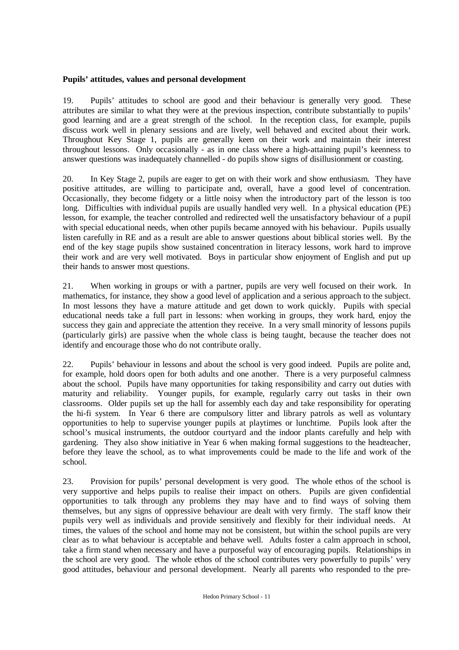## **Pupils' attitudes, values and personal development**

19. Pupils' attitudes to school are good and their behaviour is generally very good. These attributes are similar to what they were at the previous inspection, contribute substantially to pupils' good learning and are a great strength of the school. In the reception class, for example, pupils discuss work well in plenary sessions and are lively, well behaved and excited about their work. Throughout Key Stage 1, pupils are generally keen on their work and maintain their interest throughout lessons. Only occasionally - as in one class where a high-attaining pupil's keenness to answer questions was inadequately channelled - do pupils show signs of disillusionment or coasting.

20. In Key Stage 2, pupils are eager to get on with their work and show enthusiasm. They have positive attitudes, are willing to participate and, overall, have a good level of concentration. Occasionally, they become fidgety or a little noisy when the introductory part of the lesson is too long. Difficulties with individual pupils are usually handled very well. In a physical education (PE) lesson, for example, the teacher controlled and redirected well the unsatisfactory behaviour of a pupil with special educational needs, when other pupils became annoyed with his behaviour. Pupils usually listen carefully in RE and as a result are able to answer questions about biblical stories well. By the end of the key stage pupils show sustained concentration in literacy lessons, work hard to improve their work and are very well motivated. Boys in particular show enjoyment of English and put up their hands to answer most questions.

21. When working in groups or with a partner, pupils are very well focused on their work. In mathematics, for instance, they show a good level of application and a serious approach to the subject. In most lessons they have a mature attitude and get down to work quickly. Pupils with special educational needs take a full part in lessons: when working in groups, they work hard, enjoy the success they gain and appreciate the attention they receive. In a very small minority of lessons pupils (particularly girls) are passive when the whole class is being taught, because the teacher does not identify and encourage those who do not contribute orally.

22. Pupils' behaviour in lessons and about the school is very good indeed. Pupils are polite and, for example, hold doors open for both adults and one another. There is a very purposeful calmness about the school. Pupils have many opportunities for taking responsibility and carry out duties with maturity and reliability. Younger pupils, for example, regularly carry out tasks in their own classrooms. Older pupils set up the hall for assembly each day and take responsibility for operating the hi-fi system. In Year 6 there are compulsory litter and library patrols as well as voluntary opportunities to help to supervise younger pupils at playtimes or lunchtime. Pupils look after the school's musical instruments, the outdoor courtyard and the indoor plants carefully and help with gardening. They also show initiative in Year 6 when making formal suggestions to the headteacher, before they leave the school, as to what improvements could be made to the life and work of the school.

23. Provision for pupils' personal development is very good. The whole ethos of the school is very supportive and helps pupils to realise their impact on others. Pupils are given confidential opportunities to talk through any problems they may have and to find ways of solving them themselves, but any signs of oppressive behaviour are dealt with very firmly. The staff know their pupils very well as individuals and provide sensitively and flexibly for their individual needs. At times, the values of the school and home may not be consistent, but within the school pupils are very clear as to what behaviour is acceptable and behave well. Adults foster a calm approach in school, take a firm stand when necessary and have a purposeful way of encouraging pupils. Relationships in the school are very good. The whole ethos of the school contributes very powerfully to pupils' very good attitudes, behaviour and personal development. Nearly all parents who responded to the pre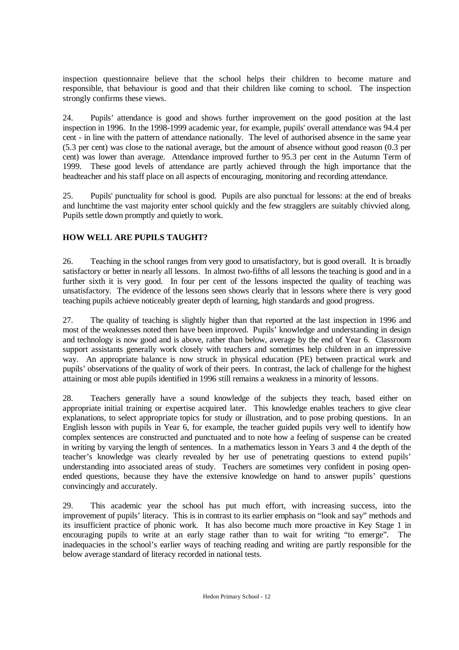inspection questionnaire believe that the school helps their children to become mature and responsible, that behaviour is good and that their children like coming to school. The inspection strongly confirms these views.

24. Pupils' attendance is good and shows further improvement on the good position at the last inspection in 1996. In the 1998-1999 academic year, for example, pupils' overall attendance was 94.4 per cent - in line with the pattern of attendance nationally. The level of authorised absence in the same year (5.3 per cent) was close to the national average, but the amount of absence without good reason (0.3 per cent) was lower than average. Attendance improved further to 95.3 per cent in the Autumn Term of 1999. These good levels of attendance are partly achieved through the high importance that the headteacher and his staff place on all aspects of encouraging, monitoring and recording attendance.

25. Pupils' punctuality for school is good. Pupils are also punctual for lessons: at the end of breaks and lunchtime the vast majority enter school quickly and the few stragglers are suitably chivvied along. Pupils settle down promptly and quietly to work.

# **HOW WELL ARE PUPILS TAUGHT?**

26. Teaching in the school ranges from very good to unsatisfactory, but is good overall. It is broadly satisfactory or better in nearly all lessons. In almost two-fifths of all lessons the teaching is good and in a further sixth it is very good. In four per cent of the lessons inspected the quality of teaching was unsatisfactory. The evidence of the lessons seen shows clearly that in lessons where there is very good teaching pupils achieve noticeably greater depth of learning, high standards and good progress.

27. The quality of teaching is slightly higher than that reported at the last inspection in 1996 and most of the weaknesses noted then have been improved. Pupils' knowledge and understanding in design and technology is now good and is above, rather than below, average by the end of Year 6. Classroom support assistants generally work closely with teachers and sometimes help children in an impressive way. An appropriate balance is now struck in physical education (PE) between practical work and pupils' observations of the quality of work of their peers. In contrast, the lack of challenge for the highest attaining or most able pupils identified in 1996 still remains a weakness in a minority of lessons.

28. Teachers generally have a sound knowledge of the subjects they teach, based either on appropriate initial training or expertise acquired later. This knowledge enables teachers to give clear explanations, to select appropriate topics for study or illustration, and to pose probing questions. In an English lesson with pupils in Year 6, for example, the teacher guided pupils very well to identify how complex sentences are constructed and punctuated and to note how a feeling of suspense can be created in writing by varying the length of sentences. In a mathematics lesson in Years 3 and 4 the depth of the teacher's knowledge was clearly revealed by her use of penetrating questions to extend pupils' understanding into associated areas of study. Teachers are sometimes very confident in posing openended questions, because they have the extensive knowledge on hand to answer pupils' questions convincingly and accurately.

29. This academic year the school has put much effort, with increasing success, into the improvement of pupils' literacy. This is in contrast to its earlier emphasis on "look and say" methods and its insufficient practice of phonic work. It has also become much more proactive in Key Stage 1 in encouraging pupils to write at an early stage rather than to wait for writing "to emerge". The inadequacies in the school's earlier ways of teaching reading and writing are partly responsible for the below average standard of literacy recorded in national tests.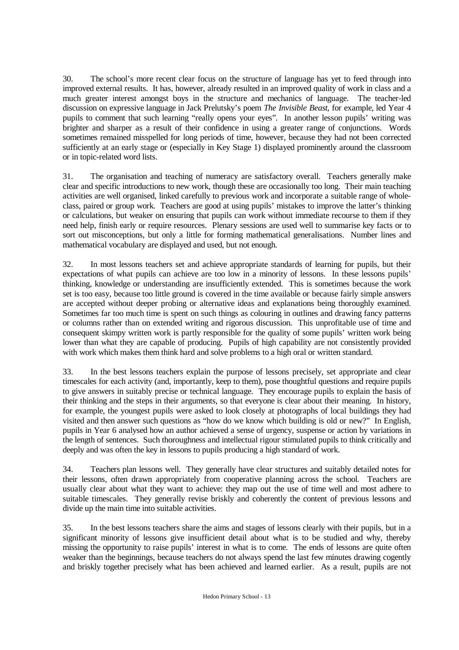30. The school's more recent clear focus on the structure of language has yet to feed through into improved external results. It has, however, already resulted in an improved quality of work in class and a much greater interest amongst boys in the structure and mechanics of language. The teacher-led discussion on expressive language in Jack Prelutsky's poem *The Invisible Beast*, for example, led Year 4 pupils to comment that such learning "really opens your eyes". In another lesson pupils' writing was brighter and sharper as a result of their confidence in using a greater range of conjunctions. Words sometimes remained misspelled for long periods of time, however, because they had not been corrected sufficiently at an early stage or (especially in Key Stage 1) displayed prominently around the classroom or in topic-related word lists.

31. The organisation and teaching of numeracy are satisfactory overall. Teachers generally make clear and specific introductions to new work, though these are occasionally too long. Their main teaching activities are well organised, linked carefully to previous work and incorporate a suitable range of wholeclass, paired or group work. Teachers are good at using pupils' mistakes to improve the latter's thinking or calculations, but weaker on ensuring that pupils can work without immediate recourse to them if they need help, finish early or require resources. Plenary sessions are used well to summarise key facts or to sort out misconceptions, but only a little for forming mathematical generalisations. Number lines and mathematical vocabulary are displayed and used, but not enough.

32. In most lessons teachers set and achieve appropriate standards of learning for pupils, but their expectations of what pupils can achieve are too low in a minority of lessons. In these lessons pupils' thinking, knowledge or understanding are insufficiently extended. This is sometimes because the work set is too easy, because too little ground is covered in the time available or because fairly simple answers are accepted without deeper probing or alternative ideas and explanations being thoroughly examined. Sometimes far too much time is spent on such things as colouring in outlines and drawing fancy patterns or columns rather than on extended writing and rigorous discussion. This unprofitable use of time and consequent skimpy written work is partly responsible for the quality of some pupils' written work being lower than what they are capable of producing. Pupils of high capability are not consistently provided with work which makes them think hard and solve problems to a high oral or written standard.

33. In the best lessons teachers explain the purpose of lessons precisely, set appropriate and clear timescales for each activity (and, importantly, keep to them), pose thoughtful questions and require pupils to give answers in suitably precise or technical language. They encourage pupils to explain the basis of their thinking and the steps in their arguments, so that everyone is clear about their meaning. In history, for example, the youngest pupils were asked to look closely at photographs of local buildings they had visited and then answer such questions as "how do we know which building is old or new?" In English, pupils in Year 6 analysed how an author achieved a sense of urgency, suspense or action by variations in the length of sentences. Such thoroughness and intellectual rigour stimulated pupils to think critically and deeply and was often the key in lessons to pupils producing a high standard of work.

34. Teachers plan lessons well. They generally have clear structures and suitably detailed notes for their lessons, often drawn appropriately from cooperative planning across the school. Teachers are usually clear about what they want to achieve: they map out the use of time well and most adhere to suitable timescales. They generally revise briskly and coherently the content of previous lessons and divide up the main time into suitable activities.

35. In the best lessons teachers share the aims and stages of lessons clearly with their pupils, but in a significant minority of lessons give insufficient detail about what is to be studied and why, thereby missing the opportunity to raise pupils' interest in what is to come. The ends of lessons are quite often weaker than the beginnings, because teachers do not always spend the last few minutes drawing cogently and briskly together precisely what has been achieved and learned earlier. As a result, pupils are not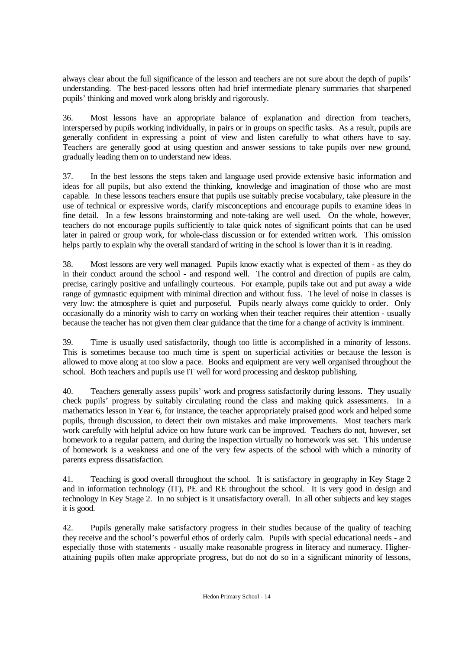always clear about the full significance of the lesson and teachers are not sure about the depth of pupils' understanding. The best-paced lessons often had brief intermediate plenary summaries that sharpened pupils' thinking and moved work along briskly and rigorously.

36. Most lessons have an appropriate balance of explanation and direction from teachers, interspersed by pupils working individually, in pairs or in groups on specific tasks. As a result, pupils are generally confident in expressing a point of view and listen carefully to what others have to say. Teachers are generally good at using question and answer sessions to take pupils over new ground, gradually leading them on to understand new ideas.

37. In the best lessons the steps taken and language used provide extensive basic information and ideas for all pupils, but also extend the thinking, knowledge and imagination of those who are most capable. In these lessons teachers ensure that pupils use suitably precise vocabulary, take pleasure in the use of technical or expressive words, clarify misconceptions and encourage pupils to examine ideas in fine detail. In a few lessons brainstorming and note-taking are well used. On the whole, however, teachers do not encourage pupils sufficiently to take quick notes of significant points that can be used later in paired or group work, for whole-class discussion or for extended written work. This omission helps partly to explain why the overall standard of writing in the school is lower than it is in reading.

38. Most lessons are very well managed. Pupils know exactly what is expected of them - as they do in their conduct around the school - and respond well. The control and direction of pupils are calm, precise, caringly positive and unfailingly courteous. For example, pupils take out and put away a wide range of gymnastic equipment with minimal direction and without fuss. The level of noise in classes is very low: the atmosphere is quiet and purposeful. Pupils nearly always come quickly to order. Only occasionally do a minority wish to carry on working when their teacher requires their attention - usually because the teacher has not given them clear guidance that the time for a change of activity is imminent.

39. Time is usually used satisfactorily, though too little is accomplished in a minority of lessons. This is sometimes because too much time is spent on superficial activities or because the lesson is allowed to move along at too slow a pace. Books and equipment are very well organised throughout the school. Both teachers and pupils use IT well for word processing and desktop publishing.

40. Teachers generally assess pupils' work and progress satisfactorily during lessons. They usually check pupils' progress by suitably circulating round the class and making quick assessments. In a mathematics lesson in Year 6, for instance, the teacher appropriately praised good work and helped some pupils, through discussion, to detect their own mistakes and make improvements. Most teachers mark work carefully with helpful advice on how future work can be improved. Teachers do not, however, set homework to a regular pattern, and during the inspection virtually no homework was set. This underuse of homework is a weakness and one of the very few aspects of the school with which a minority of parents express dissatisfaction.

41. Teaching is good overall throughout the school. It is satisfactory in geography in Key Stage 2 and in information technology (IT), PE and RE throughout the school. It is very good in design and technology in Key Stage 2. In no subject is it unsatisfactory overall. In all other subjects and key stages it is good.

42. Pupils generally make satisfactory progress in their studies because of the quality of teaching they receive and the school's powerful ethos of orderly calm. Pupils with special educational needs - and especially those with statements - usually make reasonable progress in literacy and numeracy. Higherattaining pupils often make appropriate progress, but do not do so in a significant minority of lessons,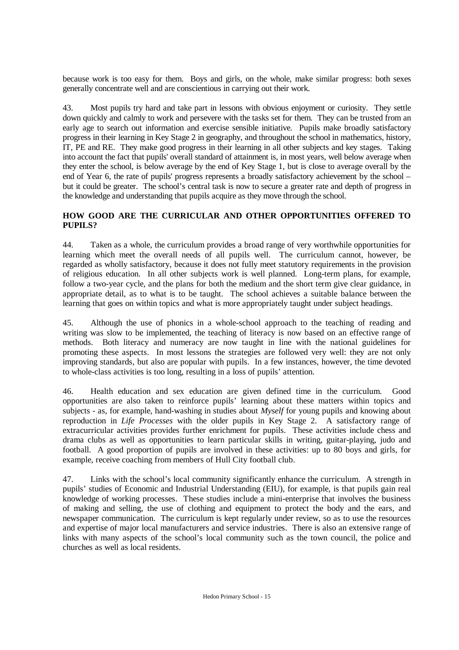because work is too easy for them. Boys and girls, on the whole, make similar progress: both sexes generally concentrate well and are conscientious in carrying out their work.

43. Most pupils try hard and take part in lessons with obvious enjoyment or curiosity. They settle down quickly and calmly to work and persevere with the tasks set for them. They can be trusted from an early age to search out information and exercise sensible initiative. Pupils make broadly satisfactory progress in their learning in Key Stage 2 in geography, and throughout the school in mathematics, history, IT, PE and RE. They make good progress in their learning in all other subjects and key stages. Taking into account the fact that pupils' overall standard of attainment is, in most years, well below average when they enter the school, is below average by the end of Key Stage 1, but is close to average overall by the end of Year 6, the rate of pupils' progress represents a broadly satisfactory achievement by the school – but it could be greater. The school's central task is now to secure a greater rate and depth of progress in the knowledge and understanding that pupils acquire as they move through the school.

## **HOW GOOD ARE THE CURRICULAR AND OTHER OPPORTUNITIES OFFERED TO PUPILS?**

44. Taken as a whole, the curriculum provides a broad range of very worthwhile opportunities for learning which meet the overall needs of all pupils well. The curriculum cannot, however, be regarded as wholly satisfactory, because it does not fully meet statutory requirements in the provision of religious education. In all other subjects work is well planned. Long-term plans, for example, follow a two-year cycle, and the plans for both the medium and the short term give clear guidance, in appropriate detail, as to what is to be taught. The school achieves a suitable balance between the learning that goes on within topics and what is more appropriately taught under subject headings.

45. Although the use of phonics in a whole-school approach to the teaching of reading and writing was slow to be implemented, the teaching of literacy is now based on an effective range of methods. Both literacy and numeracy are now taught in line with the national guidelines for promoting these aspects. In most lessons the strategies are followed very well: they are not only improving standards, but also are popular with pupils. In a few instances, however, the time devoted to whole-class activities is too long, resulting in a loss of pupils' attention.

46. Health education and sex education are given defined time in the curriculum. Good opportunities are also taken to reinforce pupils' learning about these matters within topics and subjects - as, for example, hand-washing in studies about *Myself* for young pupils and knowing about reproduction in *Life Processes* with the older pupils in Key Stage 2. A satisfactory range of extracurricular activities provides further enrichment for pupils. These activities include chess and drama clubs as well as opportunities to learn particular skills in writing, guitar-playing, judo and football. A good proportion of pupils are involved in these activities: up to 80 boys and girls, for example, receive coaching from members of Hull City football club.

47. Links with the school's local community significantly enhance the curriculum. A strength in pupils' studies of Economic and Industrial Understanding (EIU), for example, is that pupils gain real knowledge of working processes. These studies include a mini-enterprise that involves the business of making and selling, the use of clothing and equipment to protect the body and the ears, and newspaper communication. The curriculum is kept regularly under review, so as to use the resources and expertise of major local manufacturers and service industries. There is also an extensive range of links with many aspects of the school's local community such as the town council, the police and churches as well as local residents.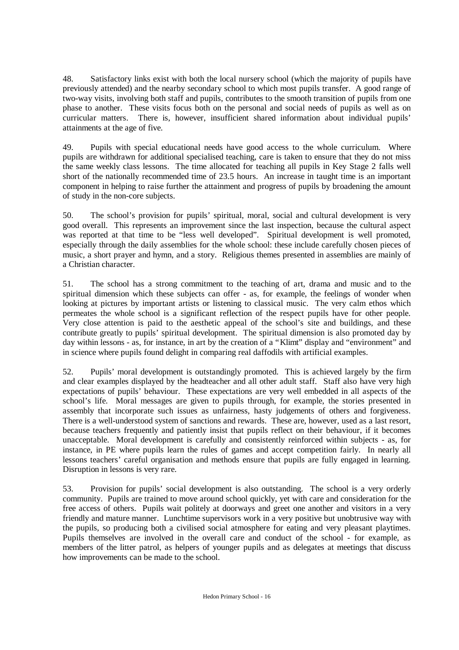48. Satisfactory links exist with both the local nursery school (which the majority of pupils have previously attended) and the nearby secondary school to which most pupils transfer. A good range of two-way visits, involving both staff and pupils, contributes to the smooth transition of pupils from one phase to another. These visits focus both on the personal and social needs of pupils as well as on curricular matters. There is, however, insufficient shared information about individual pupils' attainments at the age of five.

49. Pupils with special educational needs have good access to the whole curriculum. Where pupils are withdrawn for additional specialised teaching, care is taken to ensure that they do not miss the same weekly class lessons. The time allocated for teaching all pupils in Key Stage 2 falls well short of the nationally recommended time of 23.5 hours. An increase in taught time is an important component in helping to raise further the attainment and progress of pupils by broadening the amount of study in the non-core subjects.

50. The school's provision for pupils' spiritual, moral, social and cultural development is very good overall. This represents an improvement since the last inspection, because the cultural aspect was reported at that time to be "less well developed". Spiritual development is well promoted, especially through the daily assemblies for the whole school: these include carefully chosen pieces of music, a short prayer and hymn, and a story. Religious themes presented in assemblies are mainly of a Christian character.

51. The school has a strong commitment to the teaching of art, drama and music and to the spiritual dimension which these subjects can offer - as, for example, the feelings of wonder when looking at pictures by important artists or listening to classical music. The very calm ethos which permeates the whole school is a significant reflection of the respect pupils have for other people. Very close attention is paid to the aesthetic appeal of the school's site and buildings, and these contribute greatly to pupils' spiritual development. The spiritual dimension is also promoted day by day within lessons - as, for instance, in art by the creation of a "Klimt" display and "environment" and in science where pupils found delight in comparing real daffodils with artificial examples.

52. Pupils' moral development is outstandingly promoted. This is achieved largely by the firm and clear examples displayed by the headteacher and all other adult staff. Staff also have very high expectations of pupils' behaviour. These expectations are very well embedded in all aspects of the school's life. Moral messages are given to pupils through, for example, the stories presented in assembly that incorporate such issues as unfairness, hasty judgements of others and forgiveness. There is a well-understood system of sanctions and rewards. These are, however, used as a last resort, because teachers frequently and patiently insist that pupils reflect on their behaviour, if it becomes unacceptable. Moral development is carefully and consistently reinforced within subjects - as, for instance, in PE where pupils learn the rules of games and accept competition fairly. In nearly all lessons teachers' careful organisation and methods ensure that pupils are fully engaged in learning. Disruption in lessons is very rare.

53. Provision for pupils' social development is also outstanding. The school is a very orderly community. Pupils are trained to move around school quickly, yet with care and consideration for the free access of others. Pupils wait politely at doorways and greet one another and visitors in a very friendly and mature manner. Lunchtime supervisors work in a very positive but unobtrusive way with the pupils, so producing both a civilised social atmosphere for eating and very pleasant playtimes. Pupils themselves are involved in the overall care and conduct of the school - for example, as members of the litter patrol, as helpers of younger pupils and as delegates at meetings that discuss how improvements can be made to the school.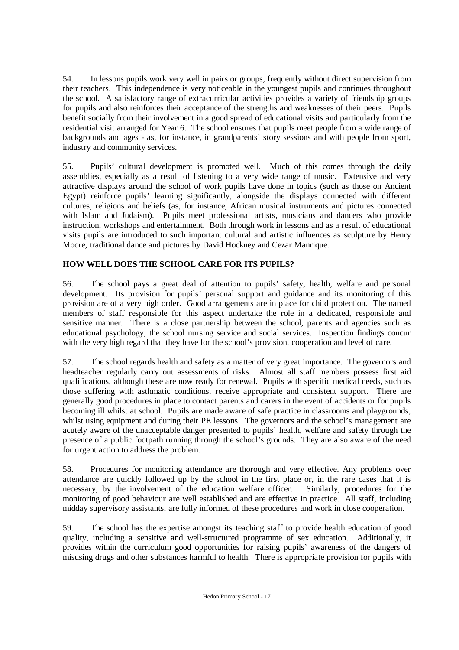54. In lessons pupils work very well in pairs or groups, frequently without direct supervision from their teachers. This independence is very noticeable in the youngest pupils and continues throughout the school. A satisfactory range of extracurricular activities provides a variety of friendship groups for pupils and also reinforces their acceptance of the strengths and weaknesses of their peers. Pupils benefit socially from their involvement in a good spread of educational visits and particularly from the residential visit arranged for Year 6. The school ensures that pupils meet people from a wide range of backgrounds and ages - as, for instance, in grandparents' story sessions and with people from sport, industry and community services.

55. Pupils' cultural development is promoted well. Much of this comes through the daily assemblies, especially as a result of listening to a very wide range of music. Extensive and very attractive displays around the school of work pupils have done in topics (such as those on Ancient Egypt) reinforce pupils' learning significantly, alongside the displays connected with different cultures, religions and beliefs (as, for instance, African musical instruments and pictures connected with Islam and Judaism). Pupils meet professional artists, musicians and dancers who provide instruction, workshops and entertainment. Both through work in lessons and as a result of educational visits pupils are introduced to such important cultural and artistic influences as sculpture by Henry Moore, traditional dance and pictures by David Hockney and Cezar Manrique.

# **HOW WELL DOES THE SCHOOL CARE FOR ITS PUPILS?**

56. The school pays a great deal of attention to pupils' safety, health, welfare and personal development. Its provision for pupils' personal support and guidance and its monitoring of this provision are of a very high order. Good arrangements are in place for child protection. The named members of staff responsible for this aspect undertake the role in a dedicated, responsible and sensitive manner. There is a close partnership between the school, parents and agencies such as educational psychology, the school nursing service and social services. Inspection findings concur with the very high regard that they have for the school's provision, cooperation and level of care.

57. The school regards health and safety as a matter of very great importance. The governors and headteacher regularly carry out assessments of risks. Almost all staff members possess first aid qualifications, although these are now ready for renewal. Pupils with specific medical needs, such as those suffering with asthmatic conditions, receive appropriate and consistent support. There are generally good procedures in place to contact parents and carers in the event of accidents or for pupils becoming ill whilst at school. Pupils are made aware of safe practice in classrooms and playgrounds, whilst using equipment and during their PE lessons. The governors and the school's management are acutely aware of the unacceptable danger presented to pupils' health, welfare and safety through the presence of a public footpath running through the school's grounds. They are also aware of the need for urgent action to address the problem.

58. Procedures for monitoring attendance are thorough and very effective. Any problems over attendance are quickly followed up by the school in the first place or, in the rare cases that it is necessary, by the involvement of the education welfare officer. Similarly, procedures for the necessary, by the involvement of the education welfare officer. monitoring of good behaviour are well established and are effective in practice. All staff, including midday supervisory assistants, are fully informed of these procedures and work in close cooperation.

59. The school has the expertise amongst its teaching staff to provide health education of good quality, including a sensitive and well-structured programme of sex education. Additionally, it provides within the curriculum good opportunities for raising pupils' awareness of the dangers of misusing drugs and other substances harmful to health. There is appropriate provision for pupils with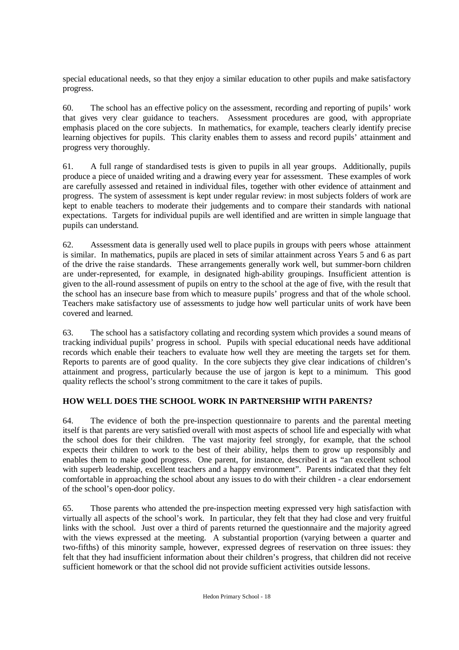special educational needs, so that they enjoy a similar education to other pupils and make satisfactory progress.

60. The school has an effective policy on the assessment, recording and reporting of pupils' work that gives very clear guidance to teachers. Assessment procedures are good, with appropriate emphasis placed on the core subjects. In mathematics, for example, teachers clearly identify precise learning objectives for pupils. This clarity enables them to assess and record pupils' attainment and progress very thoroughly.

61. A full range of standardised tests is given to pupils in all year groups. Additionally, pupils produce a piece of unaided writing and a drawing every year for assessment. These examples of work are carefully assessed and retained in individual files, together with other evidence of attainment and progress. The system of assessment is kept under regular review: in most subjects folders of work are kept to enable teachers to moderate their judgements and to compare their standards with national expectations. Targets for individual pupils are well identified and are written in simple language that pupils can understand.

62. Assessment data is generally used well to place pupils in groups with peers whose attainment is similar. In mathematics, pupils are placed in sets of similar attainment across Years 5 and 6 as part of the drive the raise standards. These arrangements generally work well, but summer-born children are under-represented, for example, in designated high-ability groupings. Insufficient attention is given to the all-round assessment of pupils on entry to the school at the age of five, with the result that the school has an insecure base from which to measure pupils' progress and that of the whole school. Teachers make satisfactory use of assessments to judge how well particular units of work have been covered and learned.

63. The school has a satisfactory collating and recording system which provides a sound means of tracking individual pupils' progress in school. Pupils with special educational needs have additional records which enable their teachers to evaluate how well they are meeting the targets set for them. Reports to parents are of good quality. In the core subjects they give clear indications of children's attainment and progress, particularly because the use of jargon is kept to a minimum. This good quality reflects the school's strong commitment to the care it takes of pupils.

# **HOW WELL DOES THE SCHOOL WORK IN PARTNERSHIP WITH PARENTS?**

64. The evidence of both the pre-inspection questionnaire to parents and the parental meeting itself is that parents are very satisfied overall with most aspects of school life and especially with what the school does for their children. The vast majority feel strongly, for example, that the school expects their children to work to the best of their ability, helps them to grow up responsibly and enables them to make good progress. One parent, for instance, described it as "an excellent school with superb leadership, excellent teachers and a happy environment". Parents indicated that they felt comfortable in approaching the school about any issues to do with their children - a clear endorsement of the school's open-door policy.

65. Those parents who attended the pre-inspection meeting expressed very high satisfaction with virtually all aspects of the school's work. In particular, they felt that they had close and very fruitful links with the school. Just over a third of parents returned the questionnaire and the majority agreed with the views expressed at the meeting. A substantial proportion (varying between a quarter and two-fifths) of this minority sample, however, expressed degrees of reservation on three issues: they felt that they had insufficient information about their children's progress, that children did not receive sufficient homework or that the school did not provide sufficient activities outside lessons.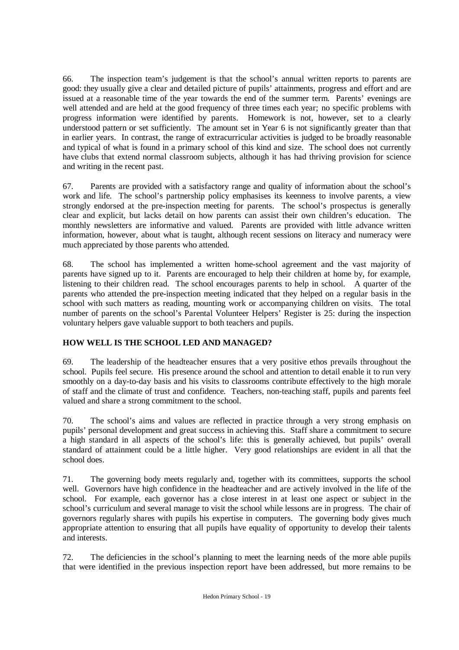66. The inspection team's judgement is that the school's annual written reports to parents are good: they usually give a clear and detailed picture of pupils' attainments, progress and effort and are issued at a reasonable time of the year towards the end of the summer term. Parents' evenings are well attended and are held at the good frequency of three times each year; no specific problems with progress information were identified by parents. Homework is not, however, set to a clearly understood pattern or set sufficiently. The amount set in Year 6 is not significantly greater than that in earlier years. In contrast, the range of extracurricular activities is judged to be broadly reasonable and typical of what is found in a primary school of this kind and size. The school does not currently have clubs that extend normal classroom subjects, although it has had thriving provision for science and writing in the recent past.

67. Parents are provided with a satisfactory range and quality of information about the school's work and life. The school's partnership policy emphasises its keenness to involve parents, a view strongly endorsed at the pre-inspection meeting for parents. The school's prospectus is generally clear and explicit, but lacks detail on how parents can assist their own children's education. The monthly newsletters are informative and valued. Parents are provided with little advance written information, however, about what is taught, although recent sessions on literacy and numeracy were much appreciated by those parents who attended.

68. The school has implemented a written home-school agreement and the vast majority of parents have signed up to it. Parents are encouraged to help their children at home by, for example, listening to their children read. The school encourages parents to help in school. A quarter of the parents who attended the pre-inspection meeting indicated that they helped on a regular basis in the school with such matters as reading, mounting work or accompanying children on visits. The total number of parents on the school's Parental Volunteer Helpers' Register is 25: during the inspection voluntary helpers gave valuable support to both teachers and pupils.

# **HOW WELL IS THE SCHOOL LED AND MANAGED?**

69. The leadership of the headteacher ensures that a very positive ethos prevails throughout the school. Pupils feel secure. His presence around the school and attention to detail enable it to run very smoothly on a day-to-day basis and his visits to classrooms contribute effectively to the high morale of staff and the climate of trust and confidence. Teachers, non-teaching staff, pupils and parents feel valued and share a strong commitment to the school.

70. The school's aims and values are reflected in practice through a very strong emphasis on pupils' personal development and great success in achieving this. Staff share a commitment to secure a high standard in all aspects of the school's life: this is generally achieved, but pupils' overall standard of attainment could be a little higher. Very good relationships are evident in all that the school does.

71. The governing body meets regularly and, together with its committees, supports the school well. Governors have high confidence in the headteacher and are actively involved in the life of the school. For example, each governor has a close interest in at least one aspect or subject in the school's curriculum and several manage to visit the school while lessons are in progress. The chair of governors regularly shares with pupils his expertise in computers. The governing body gives much appropriate attention to ensuring that all pupils have equality of opportunity to develop their talents and interests.

72. The deficiencies in the school's planning to meet the learning needs of the more able pupils that were identified in the previous inspection report have been addressed, but more remains to be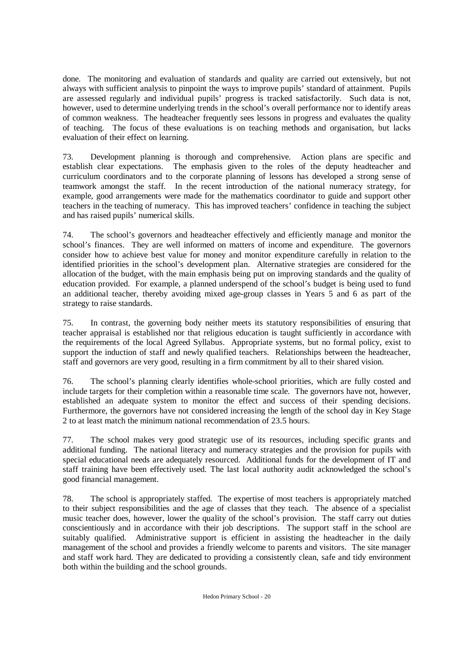done. The monitoring and evaluation of standards and quality are carried out extensively, but not always with sufficient analysis to pinpoint the ways to improve pupils' standard of attainment. Pupils are assessed regularly and individual pupils' progress is tracked satisfactorily. Such data is not, however, used to determine underlying trends in the school's overall performance nor to identify areas of common weakness. The headteacher frequently sees lessons in progress and evaluates the quality of teaching. The focus of these evaluations is on teaching methods and organisation, but lacks evaluation of their effect on learning.

73. Development planning is thorough and comprehensive. Action plans are specific and establish clear expectations. The emphasis given to the roles of the deputy headteacher and curriculum coordinators and to the corporate planning of lessons has developed a strong sense of teamwork amongst the staff. In the recent introduction of the national numeracy strategy, for example, good arrangements were made for the mathematics coordinator to guide and support other teachers in the teaching of numeracy. This has improved teachers' confidence in teaching the subject and has raised pupils' numerical skills.

74. The school's governors and headteacher effectively and efficiently manage and monitor the school's finances. They are well informed on matters of income and expenditure. The governors consider how to achieve best value for money and monitor expenditure carefully in relation to the identified priorities in the school's development plan. Alternative strategies are considered for the allocation of the budget, with the main emphasis being put on improving standards and the quality of education provided. For example, a planned underspend of the school's budget is being used to fund an additional teacher, thereby avoiding mixed age-group classes in Years 5 and 6 as part of the strategy to raise standards.

75. In contrast, the governing body neither meets its statutory responsibilities of ensuring that teacher appraisal is established nor that religious education is taught sufficiently in accordance with the requirements of the local Agreed Syllabus. Appropriate systems, but no formal policy, exist to support the induction of staff and newly qualified teachers. Relationships between the headteacher, staff and governors are very good, resulting in a firm commitment by all to their shared vision.

76. The school's planning clearly identifies whole-school priorities, which are fully costed and include targets for their completion within a reasonable time scale. The governors have not, however, established an adequate system to monitor the effect and success of their spending decisions. Furthermore, the governors have not considered increasing the length of the school day in Key Stage 2 to at least match the minimum national recommendation of 23.5 hours.

77. The school makes very good strategic use of its resources, including specific grants and additional funding. The national literacy and numeracy strategies and the provision for pupils with special educational needs are adequately resourced. Additional funds for the development of IT and staff training have been effectively used. The last local authority audit acknowledged the school's good financial management.

78. The school is appropriately staffed. The expertise of most teachers is appropriately matched to their subject responsibilities and the age of classes that they teach. The absence of a specialist music teacher does, however, lower the quality of the school's provision. The staff carry out duties conscientiously and in accordance with their job descriptions. The support staff in the school are suitably qualified. Administrative support is efficient in assisting the headteacher in the daily management of the school and provides a friendly welcome to parents and visitors. The site manager and staff work hard. They are dedicated to providing a consistently clean, safe and tidy environment both within the building and the school grounds.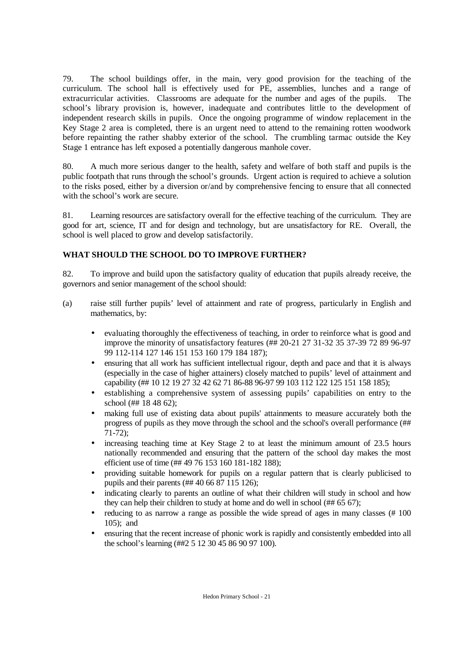79. The school buildings offer, in the main, very good provision for the teaching of the curriculum. The school hall is effectively used for PE, assemblies, lunches and a range of extracurricular activities. Classrooms are adequate for the number and ages of the pupils. The school's library provision is, however, inadequate and contributes little to the development of independent research skills in pupils. Once the ongoing programme of window replacement in the Key Stage 2 area is completed, there is an urgent need to attend to the remaining rotten woodwork before repainting the rather shabby exterior of the school. The crumbling tarmac outside the Key Stage 1 entrance has left exposed a potentially dangerous manhole cover.

80. A much more serious danger to the health, safety and welfare of both staff and pupils is the public footpath that runs through the school's grounds. Urgent action is required to achieve a solution to the risks posed, either by a diversion or/and by comprehensive fencing to ensure that all connected with the school's work are secure.

81. Learning resources are satisfactory overall for the effective teaching of the curriculum. They are good for art, science, IT and for design and technology, but are unsatisfactory for RE. Overall, the school is well placed to grow and develop satisfactorily.

# **WHAT SHOULD THE SCHOOL DO TO IMPROVE FURTHER?**

82. To improve and build upon the satisfactory quality of education that pupils already receive, the governors and senior management of the school should:

- (a) raise still further pupils' level of attainment and rate of progress, particularly in English and mathematics, by:
	- evaluating thoroughly the effectiveness of teaching, in order to reinforce what is good and improve the minority of unsatisfactory features (## 20-21 27 31-32 35 37-39 72 89 96-97 99 112-114 127 146 151 153 160 179 184 187);
	- ensuring that all work has sufficient intellectual rigour, depth and pace and that it is always (especially in the case of higher attainers) closely matched to pupils' level of attainment and capability (## 10 12 19 27 32 42 62 71 86-88 96-97 99 103 112 122 125 151 158 185);
	- establishing a comprehensive system of assessing pupils' capabilities on entry to the school (## 18 48 62);
	- making full use of existing data about pupils' attainments to measure accurately both the progress of pupils as they move through the school and the school's overall performance (## 71-72);
	- increasing teaching time at Key Stage 2 to at least the minimum amount of 23.5 hours nationally recommended and ensuring that the pattern of the school day makes the most efficient use of time (## 49 76 153 160 181-182 188);
	- providing suitable homework for pupils on a regular pattern that is clearly publicised to pupils and their parents (## 40 66 87 115 126);
	- indicating clearly to parents an outline of what their children will study in school and how they can help their children to study at home and do well in school (## 65 67);
	- reducing to as narrow a range as possible the wide spread of ages in many classes (#100) 105); and
	- ensuring that the recent increase of phonic work is rapidly and consistently embedded into all the school's learning (##2 5 12 30 45 86 90 97 100).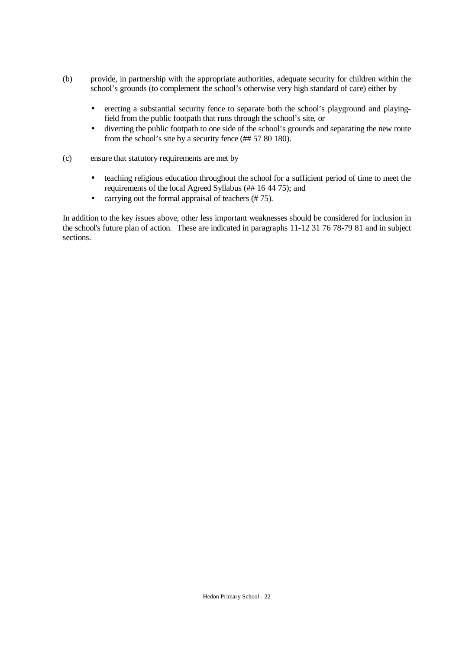- (b) provide, in partnership with the appropriate authorities, adequate security for children within the school's grounds (to complement the school's otherwise very high standard of care) either by
	- erecting a substantial security fence to separate both the school's playground and playingfield from the public footpath that runs through the school's site, or
	- diverting the public footpath to one side of the school's grounds and separating the new route from the school's site by a security fence (## 57 80 180).
- (c) ensure that statutory requirements are met by
	- teaching religious education throughout the school for a sufficient period of time to meet the requirements of the local Agreed Syllabus (## 16 44 75); and
	- carrying out the formal appraisal of teachers (#75).

In addition to the key issues above, other less important weaknesses should be considered for inclusion in the school's future plan of action. These are indicated in paragraphs 11-12 31 76 78-79 81 and in subject sections.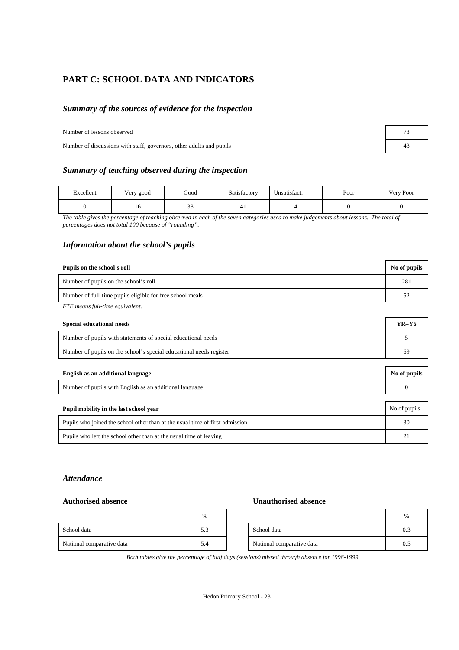# **PART C: SCHOOL DATA AND INDICATORS**

### *Summary of the sources of evidence for the inspection*

#### Number of lessons observed

Number of discussions with staff, governors, other adults and pupils 43

#### *Summary of teaching observed during the inspection*

| Excellent | Very good | Good | Satisfactory | T<br>Unsatisfact. | Poor | Very Poor |
|-----------|-----------|------|--------------|-------------------|------|-----------|
|           | 10        | 38   | 41           |                   |      |           |

*The table gives the percentage of teaching observed in each of the seven categories used to make judgements about lessons. The total of percentages does not total 100 because of "rounding".*

#### *Information about the school's pupils*

| Pupils on the school's roll                               | No of pupils |
|-----------------------------------------------------------|--------------|
| Number of pupils on the school's roll                     | 281          |
| Number of full-time pupils eligible for free school meals | 52           |
| FTE means full-time equivalent.                           |              |

| Special educational needs                                           | $YR-Y6$ |
|---------------------------------------------------------------------|---------|
| Number of pupils with statements of special educational needs       |         |
| Number of pupils on the school's special educational needs register | 69      |

| English as an additional language                                            | No of pupils |
|------------------------------------------------------------------------------|--------------|
| Number of pupils with English as an additional language                      |              |
|                                                                              |              |
| Pupil mobility in the last school year                                       | No of pupils |
| Pupils who joined the school other than at the usual time of first admission | 30           |

| Pupils who left the school other than at the usual time of leaving |  |  |  |
|--------------------------------------------------------------------|--|--|--|
|                                                                    |  |  |  |

#### *Attendance*

#### **Authorised absence Unauthorised absence**

|                           | $\%$ |                           | $\frac{0}{0}$ |
|---------------------------|------|---------------------------|---------------|
| School data               | 5.3  | School data               | 0.3           |
| National comparative data | 5.4  | National comparative data | 0.1           |

*Both tables give the percentage of half days (sessions) missed through absence for 1998-1999.*

| 73 |  |
|----|--|
| 43 |  |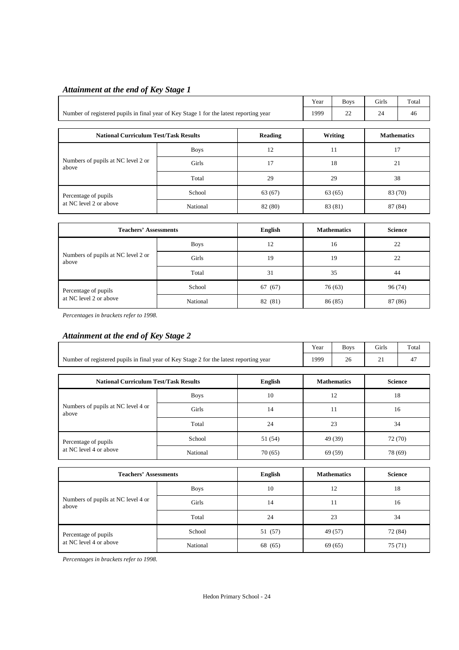# *Attainment at the end of Key Stage 1*

|                                                                                        | Year        | <b>Boys</b> | Girls    | Total   |         |                    |  |
|----------------------------------------------------------------------------------------|-------------|-------------|----------|---------|---------|--------------------|--|
| Number of registered pupils in final year of Key Stage 1 for the latest reporting year | 1999        | 22          | 24       | 46      |         |                    |  |
|                                                                                        |             |             |          |         |         |                    |  |
| <b>National Curriculum Test/Task Results</b>                                           |             | Reading     |          | Writing |         | <b>Mathematics</b> |  |
| Numbers of pupils at NC level 2 or<br>above                                            | <b>Boys</b> | 12          |          | 11      |         | 17                 |  |
|                                                                                        | Girls       | 17          | 18<br>21 |         |         |                    |  |
|                                                                                        | Total       | 29          | 29       |         |         | 38                 |  |
| Percentage of pupils                                                                   | School      | 63(67)      | 63(65)   |         |         | 83 (70)            |  |
| at NC level 2 or above                                                                 | National    | 82 (80)     |          | 83 (81) | 87 (84) |                    |  |

| <b>Teachers' Assessments</b>                |             | English | <b>Mathematics</b> | <b>Science</b> |
|---------------------------------------------|-------------|---------|--------------------|----------------|
|                                             | <b>Boys</b> | 12      | 16                 | 22             |
| Numbers of pupils at NC level 2 or<br>above | Girls       | 19      | 19                 | 22             |
|                                             | Total       | 31      | 35                 | 44             |
| Percentage of pupils                        | School      | 67 (67) | 76(63)             | 96(74)         |
| at NC level 2 or above                      | National    | 82 (81) | 86(85)             | 87 (86)        |

*Percentages in brackets refer to 1998.*

# *Attainment at the end of Key Stage 2*

|                                                                                        | Year        | <b>Boys</b> | Girls   | Total              |                |         |  |  |
|----------------------------------------------------------------------------------------|-------------|-------------|---------|--------------------|----------------|---------|--|--|
| Number of registered pupils in final year of Key Stage 2 for the latest reporting year | 1999        | 26          | 21      | 47                 |                |         |  |  |
|                                                                                        |             |             |         |                    |                |         |  |  |
| <b>National Curriculum Test/Task Results</b><br>English                                |             |             |         | <b>Mathematics</b> | <b>Science</b> |         |  |  |
| Numbers of pupils at NC level 4 or<br>above                                            | <b>Boys</b> | 10          |         | 12                 |                | 18      |  |  |
|                                                                                        | Girls       | 14          |         | 11                 |                | 16      |  |  |
|                                                                                        | Total       | 24          |         | 23                 |                | 34      |  |  |
| Percentage of pupils                                                                   | School      | 51 (54)     | 49 (39) |                    |                | 72 (70) |  |  |
| at NC level 4 or above                                                                 | National    | 70(65)      |         | 69 (59)            | 78 (69)        |         |  |  |
|                                                                                        |             |             |         |                    |                |         |  |  |
| ___<br>.                                                                               |             |             | -- -    |                    | $-1$           |         |  |  |

| <b>Teachers' Assessments</b>                |             | English | <b>Mathematics</b> | <b>Science</b> |
|---------------------------------------------|-------------|---------|--------------------|----------------|
|                                             | <b>Boys</b> | 10      | 12                 | 18             |
| Numbers of pupils at NC level 4 or<br>above | Girls       | 14      | 11                 | 16             |
|                                             | Total       | 24      | 23                 | 34             |
| Percentage of pupils                        | School      | 51 (57) | 49 (57)            | 72 (84)        |
| at NC level 4 or above                      | National    | 68 (65) | 69(65)             | 75(71)         |

*Percentages in brackets refer to 1998.*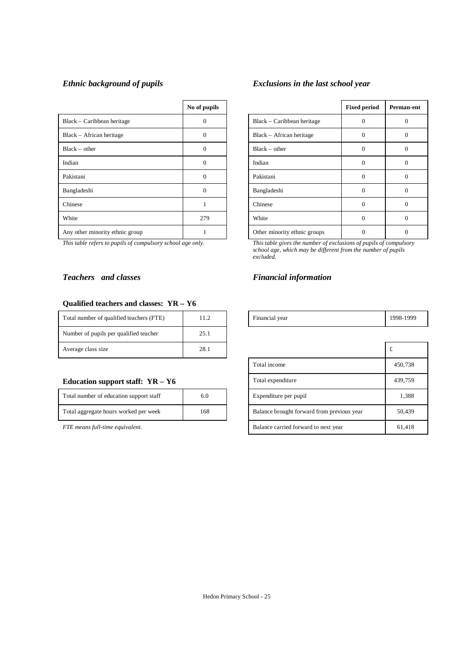|                                 | No of pupils |                              | <b>Fixed period</b> | Perma       |
|---------------------------------|--------------|------------------------------|---------------------|-------------|
| Black – Caribbean heritage      | $\Omega$     | Black – Caribbean heritage   | $\Omega$            | $\epsilon$  |
| Black – African heritage        | $\Omega$     | Black - African heritage     | $\Omega$            | $\epsilon$  |
| $Black - other$                 | $\Omega$     | $Black - other$              | $\Omega$            | $\epsilon$  |
| Indian                          | $\Omega$     | Indian                       | $\Omega$            | $\mathbf 0$ |
| Pakistani                       | $\Omega$     | Pakistani                    | $\Omega$            | $\mathbf 0$ |
| Bangladeshi                     | $\Omega$     | Bangladeshi                  | $\Omega$            | $\Omega$    |
| Chinese                         |              | Chinese                      | $\Omega$            | $\Omega$    |
| White                           | 279          | White                        | $\Omega$            | $\epsilon$  |
| Any other minority ethnic group |              | Other minority ethnic groups | $\Omega$            | $\epsilon$  |

#### *Teachers and classes Financial information*

#### **Qualified teachers and classes: YR – Y6**

| Total number of qualified teachers (FTE) | 11.2 | Financial year |   |
|------------------------------------------|------|----------------|---|
| Number of pupils per qualified teacher   | 25.1 |                |   |
| Average class size                       | 28.1 |                | £ |

#### **Education support staff: YR - Y6**

| Total number of education support staff | 6.0 |
|-----------------------------------------|-----|
| Total aggregate hours worked per week   | 168 |

# *Ethnic background of pupils Exclusions in the last school year*

| No of pupils |                              | <b>Fixed period</b> | Perman-ent        |
|--------------|------------------------------|---------------------|-------------------|
| 0            | Black – Caribbean heritage   | $\Omega$            | 0                 |
| 0            | Black - African heritage     | $\theta$            | $\theta$          |
| $\Omega$     | $Black - other$              | $\theta$            | $\Omega$          |
| $\theta$     | Indian                       | $\theta$            | $\Omega$          |
| $\Omega$     | Pakistani                    | $\Omega$            | $\Omega$          |
| $\Omega$     | Bangladeshi                  | $\theta$            | 0                 |
|              | Chinese                      | $\theta$            | 0                 |
| 279          | White                        | $\Omega$            | $\Omega$          |
|              | Other minority ethnic groups |                     | $\mathbf{\Omega}$ |

*This table refers to pupils of compulsory school age only. This table gives the number of exclusions of pupils of compulsory school age, which may be different from the number of pupils excluded.*

| Total number of qualified teachers<br>(FTE) |  |  | Financial vear<br>. | 1000<br><b>QQS</b> |
|---------------------------------------------|--|--|---------------------|--------------------|
|---------------------------------------------|--|--|---------------------|--------------------|

| Average class size                      | 28.1 |  |                                            | £       |
|-----------------------------------------|------|--|--------------------------------------------|---------|
|                                         |      |  | Total income                               | 450,738 |
| Education support staff: $YR - Y6$      |      |  | Total expenditure                          | 439,759 |
| Total number of education support staff | 6.0  |  | Expenditure per pupil                      | 1,388   |
| Total aggregate hours worked per week   | 168  |  | Balance brought forward from previous year | 50,439  |
| FTE means full-time equivalent.         |      |  | Balance carried forward to next year       | 61,418  |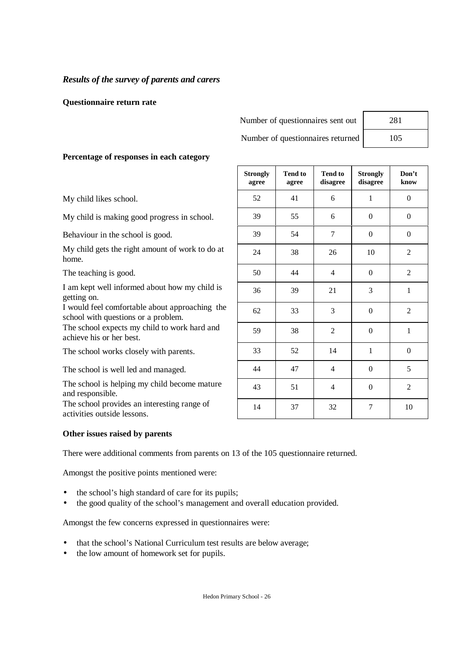# *Results of the survey of parents and carers*

### **Questionnaire return rate**

Number of questionnaires sent out

Number of questionnaires returned

**Tend to**

**Strongly**

| 281 |
|-----|
| 105 |

**Don't**

## **Percentage of responses in each category**

My child likes school.

My child is making good progress in school.

Behaviour in the school is good.

My child gets the right amount of work to do at home.

The teaching is good.

I am kept well informed about how my child is getting on.

I would feel comfortable about approaching the school with questions or a problem.

The school expects my child to work hard and achieve his or her best.

The school works closely with parents.

The school is well led and managed.

The school is helping my child become mature and responsible.

The school provides an interesting range of activities outside lessons.

### **Other issues raised by parents**

There were additional comments from parents on 13 of the 105 questionnaire returned.

Amongst the positive points mentioned were:

- the school's high standard of care for its pupils;
- the good quality of the school's management and overall education provided.

Amongst the few concerns expressed in questionnaires were:

- that the school's National Curriculum test results are below average;
- the low amount of homework set for pupils.

| agree | agree | disagree         | disagree         | know             |
|-------|-------|------------------|------------------|------------------|
| 52    | 41    | 6                | $\mathbf{1}$     | $\boldsymbol{0}$ |
| 39    | 55    | 6                | $\boldsymbol{0}$ | $\boldsymbol{0}$ |
| 39    | 54    | $\boldsymbol{7}$ | $\boldsymbol{0}$ | $\boldsymbol{0}$ |
| 24    | 38    | $26\,$           | 10               | $\mathfrak{2}$   |
| 50    | 44    | $\overline{4}$   | $\boldsymbol{0}$ | $\boldsymbol{2}$ |
| 36    | 39    | 21               | 3                | $\mathbf{1}$     |
| 62    | 33    | 3                | $\boldsymbol{0}$ | $\mathbf{2}$     |
| 59    | 38    | $\overline{2}$   | $\boldsymbol{0}$ | $\mathbf{1}$     |
| 33    | 52    | 14               | $\,1$            | $\boldsymbol{0}$ |
| $44$  | 47    | $\overline{4}$   | $\boldsymbol{0}$ | 5                |
| 43    | 51    | $\overline{4}$   | $\boldsymbol{0}$ | $\overline{2}$   |
| 14    | 37    | 32               | 7                | 10               |

**Tend to**

**Strongly**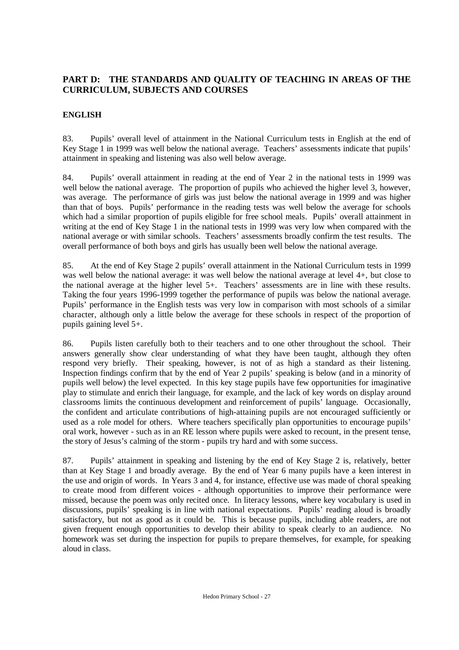# **PART D: THE STANDARDS AND QUALITY OF TEACHING IN AREAS OF THE CURRICULUM, SUBJECTS AND COURSES**

# **ENGLISH**

83. Pupils' overall level of attainment in the National Curriculum tests in English at the end of Key Stage 1 in 1999 was well below the national average. Teachers' assessments indicate that pupils' attainment in speaking and listening was also well below average.

84. Pupils' overall attainment in reading at the end of Year 2 in the national tests in 1999 was well below the national average. The proportion of pupils who achieved the higher level 3, however, was average. The performance of girls was just below the national average in 1999 and was higher than that of boys. Pupils' performance in the reading tests was well below the average for schools which had a similar proportion of pupils eligible for free school meals. Pupils' overall attainment in writing at the end of Key Stage 1 in the national tests in 1999 was very low when compared with the national average or with similar schools. Teachers' assessments broadly confirm the test results. The overall performance of both boys and girls has usually been well below the national average.

85. At the end of Key Stage 2 pupils' overall attainment in the National Curriculum tests in 1999 was well below the national average: it was well below the national average at level 4+, but close to the national average at the higher level 5+. Teachers' assessments are in line with these results. Taking the four years 1996-1999 together the performance of pupils was below the national average. Pupils' performance in the English tests was very low in comparison with most schools of a similar character, although only a little below the average for these schools in respect of the proportion of pupils gaining level 5+.

86. Pupils listen carefully both to their teachers and to one other throughout the school. Their answers generally show clear understanding of what they have been taught, although they often respond very briefly. Their speaking, however, is not of as high a standard as their listening. Inspection findings confirm that by the end of Year 2 pupils' speaking is below (and in a minority of pupils well below) the level expected. In this key stage pupils have few opportunities for imaginative play to stimulate and enrich their language, for example, and the lack of key words on display around classrooms limits the continuous development and reinforcement of pupils' language. Occasionally, the confident and articulate contributions of high-attaining pupils are not encouraged sufficiently or used as a role model for others. Where teachers specifically plan opportunities to encourage pupils' oral work, however - such as in an RE lesson where pupils were asked to recount, in the present tense, the story of Jesus's calming of the storm - pupils try hard and with some success.

87. Pupils' attainment in speaking and listening by the end of Key Stage 2 is, relatively, better than at Key Stage 1 and broadly average. By the end of Year 6 many pupils have a keen interest in the use and origin of words. In Years 3 and 4, for instance, effective use was made of choral speaking to create mood from different voices - although opportunities to improve their performance were missed, because the poem was only recited once. In literacy lessons, where key vocabulary is used in discussions, pupils' speaking is in line with national expectations. Pupils' reading aloud is broadly satisfactory, but not as good as it could be. This is because pupils, including able readers, are not given frequent enough opportunities to develop their ability to speak clearly to an audience. No homework was set during the inspection for pupils to prepare themselves, for example, for speaking aloud in class.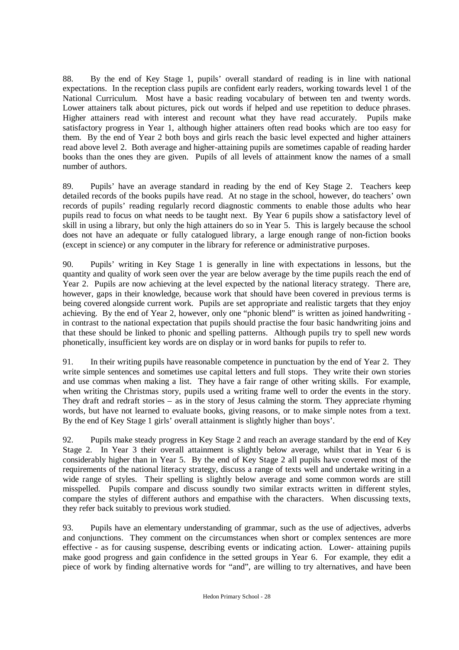88. By the end of Key Stage 1, pupils' overall standard of reading is in line with national expectations. In the reception class pupils are confident early readers, working towards level 1 of the National Curriculum. Most have a basic reading vocabulary of between ten and twenty words. Lower attainers talk about pictures, pick out words if helped and use repetition to deduce phrases. Higher attainers read with interest and recount what they have read accurately. Pupils make satisfactory progress in Year 1, although higher attainers often read books which are too easy for them. By the end of Year 2 both boys and girls reach the basic level expected and higher attainers read above level 2. Both average and higher-attaining pupils are sometimes capable of reading harder books than the ones they are given. Pupils of all levels of attainment know the names of a small number of authors.

89. Pupils' have an average standard in reading by the end of Key Stage 2. Teachers keep detailed records of the books pupils have read. At no stage in the school, however, do teachers' own records of pupils' reading regularly record diagnostic comments to enable those adults who hear pupils read to focus on what needs to be taught next. By Year 6 pupils show a satisfactory level of skill in using a library, but only the high attainers do so in Year 5. This is largely because the school does not have an adequate or fully catalogued library, a large enough range of non-fiction books (except in science) or any computer in the library for reference or administrative purposes.

90. Pupils' writing in Key Stage 1 is generally in line with expectations in lessons, but the quantity and quality of work seen over the year are below average by the time pupils reach the end of Year 2. Pupils are now achieving at the level expected by the national literacy strategy. There are, however, gaps in their knowledge, because work that should have been covered in previous terms is being covered alongside current work. Pupils are set appropriate and realistic targets that they enjoy achieving. By the end of Year 2, however, only one "phonic blend" is written as joined handwriting in contrast to the national expectation that pupils should practise the four basic handwriting joins and that these should be linked to phonic and spelling patterns. Although pupils try to spell new words phonetically, insufficient key words are on display or in word banks for pupils to refer to.

91. In their writing pupils have reasonable competence in punctuation by the end of Year 2. They write simple sentences and sometimes use capital letters and full stops. They write their own stories and use commas when making a list. They have a fair range of other writing skills. For example, when writing the Christmas story, pupils used a writing frame well to order the events in the story. They draft and redraft stories – as in the story of Jesus calming the storm. They appreciate rhyming words, but have not learned to evaluate books, giving reasons, or to make simple notes from a text. By the end of Key Stage 1 girls' overall attainment is slightly higher than boys'.

92. Pupils make steady progress in Key Stage 2 and reach an average standard by the end of Key Stage 2. In Year 3 their overall attainment is slightly below average, whilst that in Year 6 is considerably higher than in Year 5. By the end of Key Stage 2 all pupils have covered most of the requirements of the national literacy strategy, discuss a range of texts well and undertake writing in a wide range of styles. Their spelling is slightly below average and some common words are still misspelled. Pupils compare and discuss soundly two similar extracts written in different styles, compare the styles of different authors and empathise with the characters. When discussing texts, they refer back suitably to previous work studied.

93. Pupils have an elementary understanding of grammar, such as the use of adjectives, adverbs and conjunctions. They comment on the circumstances when short or complex sentences are more effective - as for causing suspense, describing events or indicating action. Lower- attaining pupils make good progress and gain confidence in the setted groups in Year 6. For example, they edit a piece of work by finding alternative words for "and", are willing to try alternatives, and have been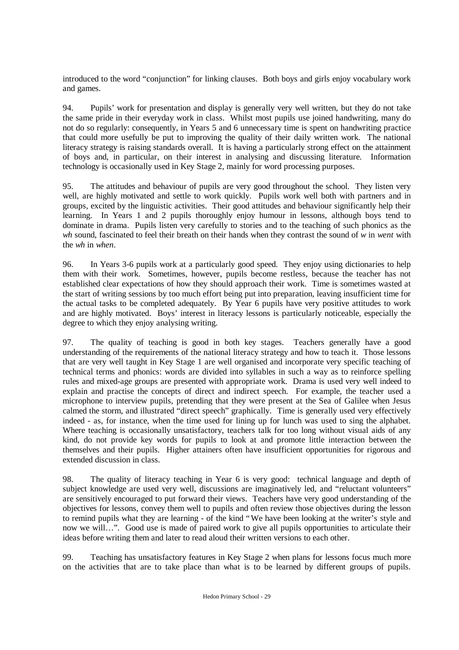introduced to the word "conjunction" for linking clauses. Both boys and girls enjoy vocabulary work and games.

94. Pupils' work for presentation and display is generally very well written, but they do not take the same pride in their everyday work in class. Whilst most pupils use joined handwriting, many do not do so regularly: consequently, in Years 5 and 6 unnecessary time is spent on handwriting practice that could more usefully be put to improving the quality of their daily written work. The national literacy strategy is raising standards overall. It is having a particularly strong effect on the attainment of boys and, in particular, on their interest in analysing and discussing literature. Information technology is occasionally used in Key Stage 2, mainly for word processing purposes.

95. The attitudes and behaviour of pupils are very good throughout the school. They listen very well, are highly motivated and settle to work quickly. Pupils work well both with partners and in groups, excited by the linguistic activities. Their good attitudes and behaviour significantly help their learning. In Years 1 and 2 pupils thoroughly enjoy humour in lessons, although boys tend to dominate in drama. Pupils listen very carefully to stories and to the teaching of such phonics as the *wh* sound, fascinated to feel their breath on their hands when they contrast the sound of *w* in *went* with the *wh* in *when*.

96. In Years 3-6 pupils work at a particularly good speed. They enjoy using dictionaries to help them with their work. Sometimes, however, pupils become restless, because the teacher has not established clear expectations of how they should approach their work. Time is sometimes wasted at the start of writing sessions by too much effort being put into preparation, leaving insufficient time for the actual tasks to be completed adequately. By Year 6 pupils have very positive attitudes to work and are highly motivated. Boys' interest in literacy lessons is particularly noticeable, especially the degree to which they enjoy analysing writing.

97. The quality of teaching is good in both key stages. Teachers generally have a good understanding of the requirements of the national literacy strategy and how to teach it. Those lessons that are very well taught in Key Stage 1 are well organised and incorporate very specific teaching of technical terms and phonics: words are divided into syllables in such a way as to reinforce spelling rules and mixed-age groups are presented with appropriate work. Drama is used very well indeed to explain and practise the concepts of direct and indirect speech. For example, the teacher used a microphone to interview pupils, pretending that they were present at the Sea of Galilee when Jesus calmed the storm, and illustrated "direct speech" graphically. Time is generally used very effectively indeed - as, for instance, when the time used for lining up for lunch was used to sing the alphabet. Where teaching is occasionally unsatisfactory, teachers talk for too long without visual aids of any kind, do not provide key words for pupils to look at and promote little interaction between the themselves and their pupils. Higher attainers often have insufficient opportunities for rigorous and extended discussion in class.

98. The quality of literacy teaching in Year 6 is very good: technical language and depth of subject knowledge are used very well, discussions are imaginatively led, and "reluctant volunteers" are sensitively encouraged to put forward their views. Teachers have very good understanding of the objectives for lessons, convey them well to pupils and often review those objectives during the lesson to remind pupils what they are learning - of the kind "We have been looking at the writer's style and now we will…". Good use is made of paired work to give all pupils opportunities to articulate their ideas before writing them and later to read aloud their written versions to each other.

99. Teaching has unsatisfactory features in Key Stage 2 when plans for lessons focus much more on the activities that are to take place than what is to be learned by different groups of pupils.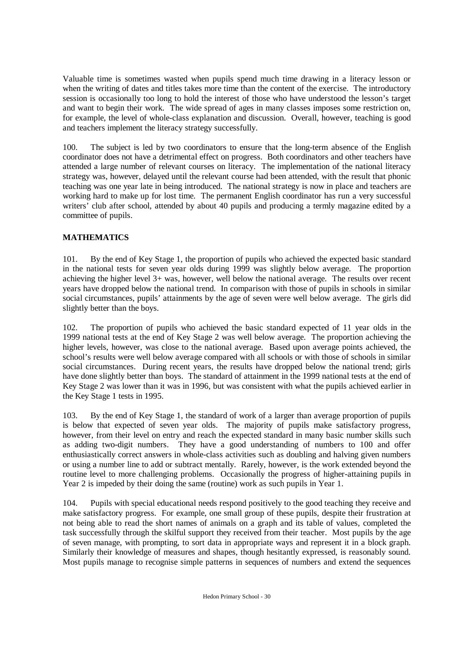Valuable time is sometimes wasted when pupils spend much time drawing in a literacy lesson or when the writing of dates and titles takes more time than the content of the exercise. The introductory session is occasionally too long to hold the interest of those who have understood the lesson's target and want to begin their work. The wide spread of ages in many classes imposes some restriction on, for example, the level of whole-class explanation and discussion. Overall, however, teaching is good and teachers implement the literacy strategy successfully.

100. The subject is led by two coordinators to ensure that the long-term absence of the English coordinator does not have a detrimental effect on progress. Both coordinators and other teachers have attended a large number of relevant courses on literacy. The implementation of the national literacy strategy was, however, delayed until the relevant course had been attended, with the result that phonic teaching was one year late in being introduced. The national strategy is now in place and teachers are working hard to make up for lost time. The permanent English coordinator has run a very successful writers' club after school, attended by about 40 pupils and producing a termly magazine edited by a committee of pupils.

# **MATHEMATICS**

101. By the end of Key Stage 1, the proportion of pupils who achieved the expected basic standard in the national tests for seven year olds during 1999 was slightly below average. The proportion achieving the higher level 3+ was, however, well below the national average. The results over recent years have dropped below the national trend. In comparison with those of pupils in schools in similar social circumstances, pupils' attainments by the age of seven were well below average. The girls did slightly better than the boys.

102. The proportion of pupils who achieved the basic standard expected of 11 year olds in the 1999 national tests at the end of Key Stage 2 was well below average. The proportion achieving the higher levels, however, was close to the national average. Based upon average points achieved, the school's results were well below average compared with all schools or with those of schools in similar social circumstances. During recent years, the results have dropped below the national trend; girls have done slightly better than boys. The standard of attainment in the 1999 national tests at the end of Key Stage 2 was lower than it was in 1996, but was consistent with what the pupils achieved earlier in the Key Stage 1 tests in 1995.

103. By the end of Key Stage 1, the standard of work of a larger than average proportion of pupils is below that expected of seven year olds. The majority of pupils make satisfactory progress, however, from their level on entry and reach the expected standard in many basic number skills such as adding two-digit numbers. They have a good understanding of numbers to 100 and offer enthusiastically correct answers in whole-class activities such as doubling and halving given numbers or using a number line to add or subtract mentally. Rarely, however, is the work extended beyond the routine level to more challenging problems. Occasionally the progress of higher-attaining pupils in Year 2 is impeded by their doing the same (routine) work as such pupils in Year 1.

104. Pupils with special educational needs respond positively to the good teaching they receive and make satisfactory progress. For example, one small group of these pupils, despite their frustration at not being able to read the short names of animals on a graph and its table of values, completed the task successfully through the skilful support they received from their teacher. Most pupils by the age of seven manage, with prompting, to sort data in appropriate ways and represent it in a block graph. Similarly their knowledge of measures and shapes, though hesitantly expressed, is reasonably sound. Most pupils manage to recognise simple patterns in sequences of numbers and extend the sequences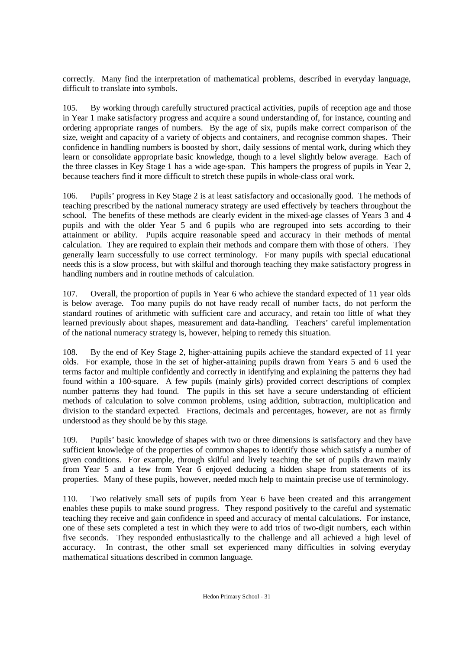correctly. Many find the interpretation of mathematical problems, described in everyday language, difficult to translate into symbols.

105. By working through carefully structured practical activities, pupils of reception age and those in Year 1 make satisfactory progress and acquire a sound understanding of, for instance, counting and ordering appropriate ranges of numbers. By the age of six, pupils make correct comparison of the size, weight and capacity of a variety of objects and containers, and recognise common shapes. Their confidence in handling numbers is boosted by short, daily sessions of mental work, during which they learn or consolidate appropriate basic knowledge, though to a level slightly below average. Each of the three classes in Key Stage 1 has a wide age-span. This hampers the progress of pupils in Year 2, because teachers find it more difficult to stretch these pupils in whole-class oral work.

106. Pupils' progress in Key Stage 2 is at least satisfactory and occasionally good. The methods of teaching prescribed by the national numeracy strategy are used effectively by teachers throughout the school. The benefits of these methods are clearly evident in the mixed-age classes of Years 3 and 4 pupils and with the older Year 5 and 6 pupils who are regrouped into sets according to their attainment or ability. Pupils acquire reasonable speed and accuracy in their methods of mental calculation. They are required to explain their methods and compare them with those of others. They generally learn successfully to use correct terminology. For many pupils with special educational needs this is a slow process, but with skilful and thorough teaching they make satisfactory progress in handling numbers and in routine methods of calculation.

107. Overall, the proportion of pupils in Year 6 who achieve the standard expected of 11 year olds is below average. Too many pupils do not have ready recall of number facts, do not perform the standard routines of arithmetic with sufficient care and accuracy, and retain too little of what they learned previously about shapes, measurement and data-handling. Teachers' careful implementation of the national numeracy strategy is, however, helping to remedy this situation.

108. By the end of Key Stage 2, higher-attaining pupils achieve the standard expected of 11 year olds. For example, those in the set of higher-attaining pupils drawn from Years 5 and 6 used the terms factor and multiple confidently and correctly in identifying and explaining the patterns they had found within a 100-square. A few pupils (mainly girls) provided correct descriptions of complex number patterns they had found. The pupils in this set have a secure understanding of efficient methods of calculation to solve common problems, using addition, subtraction, multiplication and division to the standard expected. Fractions, decimals and percentages, however, are not as firmly understood as they should be by this stage.

109. Pupils' basic knowledge of shapes with two or three dimensions is satisfactory and they have sufficient knowledge of the properties of common shapes to identify those which satisfy a number of given conditions. For example, through skilful and lively teaching the set of pupils drawn mainly from Year 5 and a few from Year 6 enjoyed deducing a hidden shape from statements of its properties. Many of these pupils, however, needed much help to maintain precise use of terminology.

110. Two relatively small sets of pupils from Year 6 have been created and this arrangement enables these pupils to make sound progress. They respond positively to the careful and systematic teaching they receive and gain confidence in speed and accuracy of mental calculations. For instance, one of these sets completed a test in which they were to add trios of two-digit numbers, each within five seconds. They responded enthusiastically to the challenge and all achieved a high level of accuracy. In contrast, the other small set experienced many difficulties in solving everyday mathematical situations described in common language.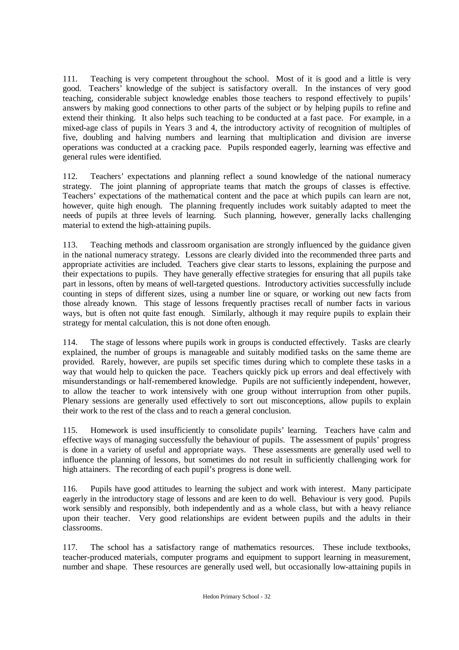111. Teaching is very competent throughout the school. Most of it is good and a little is very good. Teachers' knowledge of the subject is satisfactory overall. In the instances of very good teaching, considerable subject knowledge enables those teachers to respond effectively to pupils' answers by making good connections to other parts of the subject or by helping pupils to refine and extend their thinking. It also helps such teaching to be conducted at a fast pace. For example, in a mixed-age class of pupils in Years 3 and 4, the introductory activity of recognition of multiples of five, doubling and halving numbers and learning that multiplication and division are inverse operations was conducted at a cracking pace. Pupils responded eagerly, learning was effective and general rules were identified.

112. Teachers' expectations and planning reflect a sound knowledge of the national numeracy strategy. The joint planning of appropriate teams that match the groups of classes is effective. Teachers' expectations of the mathematical content and the pace at which pupils can learn are not, however, quite high enough. The planning frequently includes work suitably adapted to meet the needs of pupils at three levels of learning. Such planning, however, generally lacks challenging material to extend the high-attaining pupils.

113. Teaching methods and classroom organisation are strongly influenced by the guidance given in the national numeracy strategy. Lessons are clearly divided into the recommended three parts and appropriate activities are included. Teachers give clear starts to lessons, explaining the purpose and their expectations to pupils. They have generally effective strategies for ensuring that all pupils take part in lessons, often by means of well-targeted questions. Introductory activities successfully include counting in steps of different sizes, using a number line or square, or working out new facts from those already known. This stage of lessons frequently practises recall of number facts in various ways, but is often not quite fast enough. Similarly, although it may require pupils to explain their strategy for mental calculation, this is not done often enough.

114. The stage of lessons where pupils work in groups is conducted effectively. Tasks are clearly explained, the number of groups is manageable and suitably modified tasks on the same theme are provided. Rarely, however, are pupils set specific times during which to complete these tasks in a way that would help to quicken the pace. Teachers quickly pick up errors and deal effectively with misunderstandings or half-remembered knowledge. Pupils are not sufficiently independent, however, to allow the teacher to work intensively with one group without interruption from other pupils. Plenary sessions are generally used effectively to sort out misconceptions, allow pupils to explain their work to the rest of the class and to reach a general conclusion.

115. Homework is used insufficiently to consolidate pupils' learning. Teachers have calm and effective ways of managing successfully the behaviour of pupils. The assessment of pupils' progress is done in a variety of useful and appropriate ways. These assessments are generally used well to influence the planning of lessons, but sometimes do not result in sufficiently challenging work for high attainers. The recording of each pupil's progress is done well.

116. Pupils have good attitudes to learning the subject and work with interest. Many participate eagerly in the introductory stage of lessons and are keen to do well. Behaviour is very good. Pupils work sensibly and responsibly, both independently and as a whole class, but with a heavy reliance upon their teacher. Very good relationships are evident between pupils and the adults in their classrooms.

117. The school has a satisfactory range of mathematics resources. These include textbooks, teacher-produced materials, computer programs and equipment to support learning in measurement, number and shape. These resources are generally used well, but occasionally low-attaining pupils in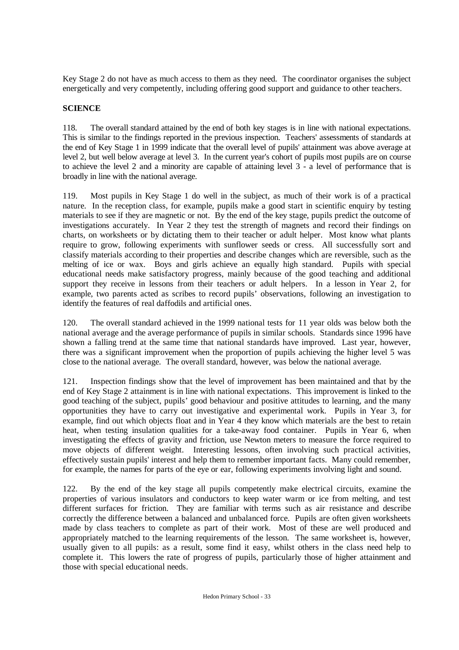Key Stage 2 do not have as much access to them as they need. The coordinator organises the subject energetically and very competently, including offering good support and guidance to other teachers.

## **SCIENCE**

118. The overall standard attained by the end of both key stages is in line with national expectations. This is similar to the findings reported in the previous inspection. Teachers' assessments of standards at the end of Key Stage 1 in 1999 indicate that the overall level of pupils' attainment was above average at level 2, but well below average at level 3. In the current year's cohort of pupils most pupils are on course to achieve the level 2 and a minority are capable of attaining level 3 - a level of performance that is broadly in line with the national average.

119. Most pupils in Key Stage 1 do well in the subject, as much of their work is of a practical nature. In the reception class, for example, pupils make a good start in scientific enquiry by testing materials to see if they are magnetic or not. By the end of the key stage, pupils predict the outcome of investigations accurately. In Year 2 they test the strength of magnets and record their findings on charts, on worksheets or by dictating them to their teacher or adult helper. Most know what plants require to grow, following experiments with sunflower seeds or cress. All successfully sort and classify materials according to their properties and describe changes which are reversible, such as the melting of ice or wax. Boys and girls achieve an equally high standard. Pupils with special educational needs make satisfactory progress, mainly because of the good teaching and additional support they receive in lessons from their teachers or adult helpers. In a lesson in Year 2, for example, two parents acted as scribes to record pupils' observations, following an investigation to identify the features of real daffodils and artificial ones.

120. The overall standard achieved in the 1999 national tests for 11 year olds was below both the national average and the average performance of pupils in similar schools. Standards since 1996 have shown a falling trend at the same time that national standards have improved. Last year, however, there was a significant improvement when the proportion of pupils achieving the higher level 5 was close to the national average. The overall standard, however, was below the national average.

121. Inspection findings show that the level of improvement has been maintained and that by the end of Key Stage 2 attainment is in line with national expectations. This improvement is linked to the good teaching of the subject, pupils' good behaviour and positive attitudes to learning, and the many opportunities they have to carry out investigative and experimental work. Pupils in Year 3, for example, find out which objects float and in Year 4 they know which materials are the best to retain heat, when testing insulation qualities for a take-away food container. Pupils in Year 6, when investigating the effects of gravity and friction, use Newton meters to measure the force required to move objects of different weight. Interesting lessons, often involving such practical activities, effectively sustain pupils' interest and help them to remember important facts. Many could remember, for example, the names for parts of the eye or ear, following experiments involving light and sound.

122. By the end of the key stage all pupils competently make electrical circuits, examine the properties of various insulators and conductors to keep water warm or ice from melting, and test different surfaces for friction. They are familiar with terms such as air resistance and describe correctly the difference between a balanced and unbalanced force. Pupils are often given worksheets made by class teachers to complete as part of their work. Most of these are well produced and appropriately matched to the learning requirements of the lesson. The same worksheet is, however, usually given to all pupils: as a result, some find it easy, whilst others in the class need help to complete it. This lowers the rate of progress of pupils, particularly those of higher attainment and those with special educational needs.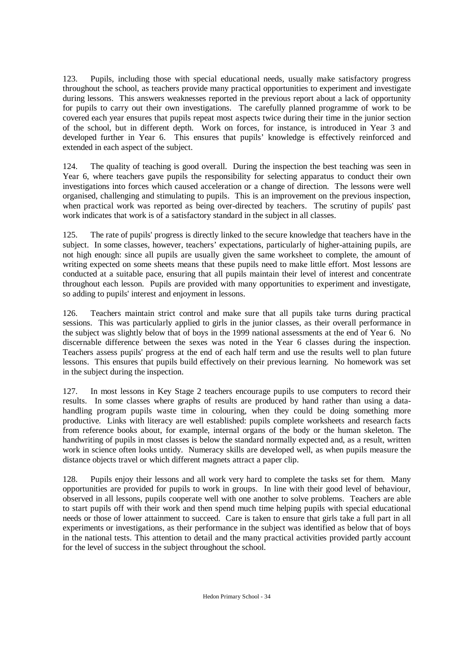123. Pupils, including those with special educational needs, usually make satisfactory progress throughout the school, as teachers provide many practical opportunities to experiment and investigate during lessons. This answers weaknesses reported in the previous report about a lack of opportunity for pupils to carry out their own investigations. The carefully planned programme of work to be covered each year ensures that pupils repeat most aspects twice during their time in the junior section of the school, but in different depth. Work on forces, for instance, is introduced in Year 3 and developed further in Year 6. This ensures that pupils' knowledge is effectively reinforced and extended in each aspect of the subject.

124. The quality of teaching is good overall. During the inspection the best teaching was seen in Year 6, where teachers gave pupils the responsibility for selecting apparatus to conduct their own investigations into forces which caused acceleration or a change of direction. The lessons were well organised, challenging and stimulating to pupils. This is an improvement on the previous inspection, when practical work was reported as being over-directed by teachers. The scrutiny of pupils' past work indicates that work is of a satisfactory standard in the subject in all classes.

125. The rate of pupils' progress is directly linked to the secure knowledge that teachers have in the subject. In some classes, however, teachers' expectations, particularly of higher-attaining pupils, are not high enough: since all pupils are usually given the same worksheet to complete, the amount of writing expected on some sheets means that these pupils need to make little effort. Most lessons are conducted at a suitable pace, ensuring that all pupils maintain their level of interest and concentrate throughout each lesson. Pupils are provided with many opportunities to experiment and investigate, so adding to pupils' interest and enjoyment in lessons.

126. Teachers maintain strict control and make sure that all pupils take turns during practical sessions. This was particularly applied to girls in the junior classes, as their overall performance in the subject was slightly below that of boys in the 1999 national assessments at the end of Year 6. No discernable difference between the sexes was noted in the Year 6 classes during the inspection. Teachers assess pupils' progress at the end of each half term and use the results well to plan future lessons. This ensures that pupils build effectively on their previous learning. No homework was set in the subject during the inspection.

127. In most lessons in Key Stage 2 teachers encourage pupils to use computers to record their results. In some classes where graphs of results are produced by hand rather than using a datahandling program pupils waste time in colouring, when they could be doing something more productive. Links with literacy are well established: pupils complete worksheets and research facts from reference books about, for example, internal organs of the body or the human skeleton. The handwriting of pupils in most classes is below the standard normally expected and, as a result, written work in science often looks untidy. Numeracy skills are developed well, as when pupils measure the distance objects travel or which different magnets attract a paper clip.

128. Pupils enjoy their lessons and all work very hard to complete the tasks set for them. Many opportunities are provided for pupils to work in groups. In line with their good level of behaviour, observed in all lessons, pupils cooperate well with one another to solve problems. Teachers are able to start pupils off with their work and then spend much time helping pupils with special educational needs or those of lower attainment to succeed. Care is taken to ensure that girls take a full part in all experiments or investigations, as their performance in the subject was identified as below that of boys in the national tests. This attention to detail and the many practical activities provided partly account for the level of success in the subject throughout the school.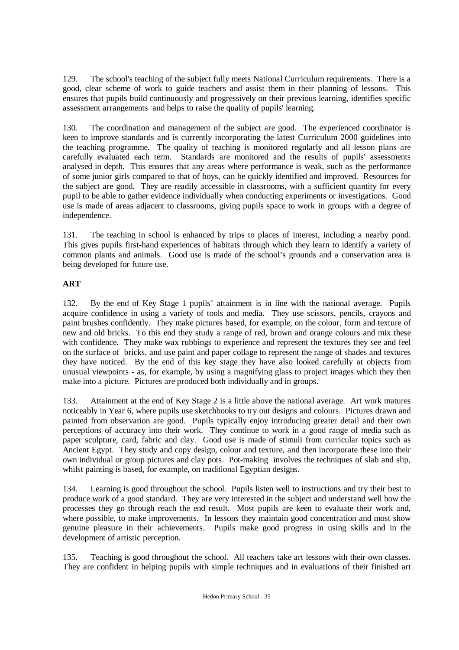129. The school's teaching of the subject fully meets National Curriculum requirements. There is a good, clear scheme of work to guide teachers and assist them in their planning of lessons. This ensures that pupils build continuously and progressively on their previous learning, identifies specific assessment arrangements and helps to raise the quality of pupils' learning.

130. The coordination and management of the subject are good. The experienced coordinator is keen to improve standards and is currently incorporating the latest Curriculum 2000 guidelines into the teaching programme. The quality of teaching is monitored regularly and all lesson plans are carefully evaluated each term. Standards are monitored and the results of pupils' assessments analysed in depth. This ensures that any areas where performance is weak, such as the performance of some junior girls compared to that of boys, can be quickly identified and improved. Resources for the subject are good. They are readily accessible in classrooms, with a sufficient quantity for every pupil to be able to gather evidence individually when conducting experiments or investigations. Good use is made of areas adjacent to classrooms, giving pupils space to work in groups with a degree of independence.

131. The teaching in school is enhanced by trips to places of interest, including a nearby pond. This gives pupils first-hand experiences of habitats through which they learn to identify a variety of common plants and animals. Good use is made of the school's grounds and a conservation area is being developed for future use.

# **ART**

132. By the end of Key Stage 1 pupils' attainment is in line with the national average. Pupils acquire confidence in using a variety of tools and media. They use scissors, pencils, crayons and paint brushes confidently. They make pictures based, for example, on the colour, form and texture of new and old bricks. To this end they study a range of red, brown and orange colours and mix these with confidence. They make wax rubbings to experience and represent the textures they see and feel on the surface of bricks, and use paint and paper collage to represent the range of shades and textures they have noticed. By the end of this key stage they have also looked carefully at objects from unusual viewpoints - as, for example, by using a magnifying glass to project images which they then make into a picture. Pictures are produced both individually and in groups.

133. Attainment at the end of Key Stage 2 is a little above the national average. Art work matures noticeably in Year 6, where pupils use sketchbooks to try out designs and colours. Pictures drawn and painted from observation are good. Pupils typically enjoy introducing greater detail and their own perceptions of accuracy into their work. They continue to work in a good range of media such as paper sculpture, card, fabric and clay. Good use is made of stimuli from curricular topics such as Ancient Egypt. They study and copy design, colour and texture, and then incorporate these into their own individual or group pictures and clay pots. Pot-making involves the techniques of slab and slip, whilst painting is based, for example, on traditional Egyptian designs.

134. Learning is good throughout the school. Pupils listen well to instructions and try their best to produce work of a good standard. They are very interested in the subject and understand well how the processes they go through reach the end result. Most pupils are keen to evaluate their work and, where possible, to make improvements. In lessons they maintain good concentration and most show genuine pleasure in their achievements. Pupils make good progress in using skills and in the development of artistic perception.

135. Teaching is good throughout the school. All teachers take art lessons with their own classes. They are confident in helping pupils with simple techniques and in evaluations of their finished art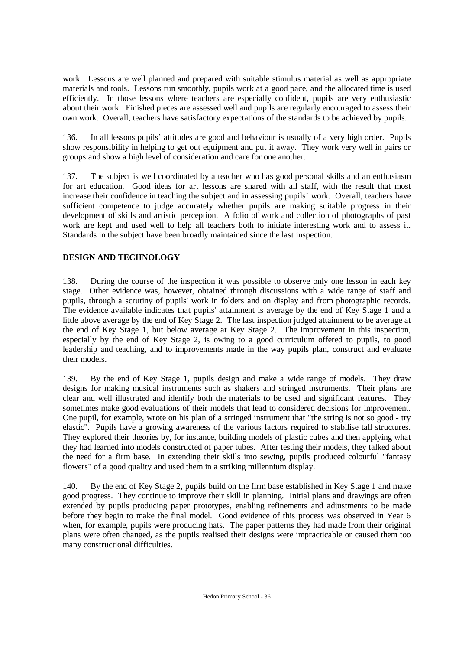work. Lessons are well planned and prepared with suitable stimulus material as well as appropriate materials and tools. Lessons run smoothly, pupils work at a good pace, and the allocated time is used efficiently. In those lessons where teachers are especially confident, pupils are very enthusiastic about their work. Finished pieces are assessed well and pupils are regularly encouraged to assess their own work. Overall, teachers have satisfactory expectations of the standards to be achieved by pupils.

136. In all lessons pupils' attitudes are good and behaviour is usually of a very high order. Pupils show responsibility in helping to get out equipment and put it away. They work very well in pairs or groups and show a high level of consideration and care for one another.

137. The subject is well coordinated by a teacher who has good personal skills and an enthusiasm for art education. Good ideas for art lessons are shared with all staff, with the result that most increase their confidence in teaching the subject and in assessing pupils' work. Overall, teachers have sufficient competence to judge accurately whether pupils are making suitable progress in their development of skills and artistic perception. A folio of work and collection of photographs of past work are kept and used well to help all teachers both to initiate interesting work and to assess it. Standards in the subject have been broadly maintained since the last inspection.

# **DESIGN AND TECHNOLOGY**

138. During the course of the inspection it was possible to observe only one lesson in each key stage. Other evidence was, however, obtained through discussions with a wide range of staff and pupils, through a scrutiny of pupils' work in folders and on display and from photographic records. The evidence available indicates that pupils' attainment is average by the end of Key Stage 1 and a little above average by the end of Key Stage 2. The last inspection judged attainment to be average at the end of Key Stage 1, but below average at Key Stage 2. The improvement in this inspection, especially by the end of Key Stage 2, is owing to a good curriculum offered to pupils, to good leadership and teaching, and to improvements made in the way pupils plan, construct and evaluate their models.

139. By the end of Key Stage 1, pupils design and make a wide range of models. They draw designs for making musical instruments such as shakers and stringed instruments. Their plans are clear and well illustrated and identify both the materials to be used and significant features. They sometimes make good evaluations of their models that lead to considered decisions for improvement. One pupil, for example, wrote on his plan of a stringed instrument that "the string is not so good - try elastic". Pupils have a growing awareness of the various factors required to stabilise tall structures. They explored their theories by, for instance, building models of plastic cubes and then applying what they had learned into models constructed of paper tubes. After testing their models, they talked about the need for a firm base. In extending their skills into sewing, pupils produced colourful "fantasy flowers" of a good quality and used them in a striking millennium display.

140. By the end of Key Stage 2, pupils build on the firm base established in Key Stage 1 and make good progress. They continue to improve their skill in planning. Initial plans and drawings are often extended by pupils producing paper prototypes, enabling refinements and adjustments to be made before they begin to make the final model. Good evidence of this process was observed in Year 6 when, for example, pupils were producing hats. The paper patterns they had made from their original plans were often changed, as the pupils realised their designs were impracticable or caused them too many constructional difficulties.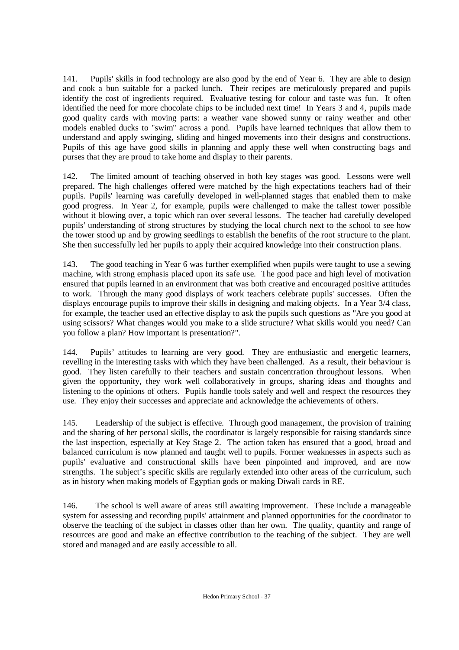141. Pupils' skills in food technology are also good by the end of Year 6. They are able to design and cook a bun suitable for a packed lunch. Their recipes are meticulously prepared and pupils identify the cost of ingredients required. Evaluative testing for colour and taste was fun. It often identified the need for more chocolate chips to be included next time! In Years 3 and 4, pupils made good quality cards with moving parts: a weather vane showed sunny or rainy weather and other models enabled ducks to "swim" across a pond. Pupils have learned techniques that allow them to understand and apply swinging, sliding and hinged movements into their designs and constructions. Pupils of this age have good skills in planning and apply these well when constructing bags and purses that they are proud to take home and display to their parents.

142. The limited amount of teaching observed in both key stages was good. Lessons were well prepared. The high challenges offered were matched by the high expectations teachers had of their pupils. Pupils' learning was carefully developed in well-planned stages that enabled them to make good progress. In Year 2, for example, pupils were challenged to make the tallest tower possible without it blowing over, a topic which ran over several lessons. The teacher had carefully developed pupils' understanding of strong structures by studying the local church next to the school to see how the tower stood up and by growing seedlings to establish the benefits of the root structure to the plant. She then successfully led her pupils to apply their acquired knowledge into their construction plans.

143. The good teaching in Year 6 was further exemplified when pupils were taught to use a sewing machine, with strong emphasis placed upon its safe use. The good pace and high level of motivation ensured that pupils learned in an environment that was both creative and encouraged positive attitudes to work. Through the many good displays of work teachers celebrate pupils' successes. Often the displays encourage pupils to improve their skills in designing and making objects. In a Year 3/4 class, for example, the teacher used an effective display to ask the pupils such questions as "Are you good at using scissors? What changes would you make to a slide structure? What skills would you need? Can you follow a plan? How important is presentation?".

144. Pupils' attitudes to learning are very good. They are enthusiastic and energetic learners, revelling in the interesting tasks with which they have been challenged. As a result, their behaviour is good. They listen carefully to their teachers and sustain concentration throughout lessons. When given the opportunity, they work well collaboratively in groups, sharing ideas and thoughts and listening to the opinions of others. Pupils handle tools safely and well and respect the resources they use. They enjoy their successes and appreciate and acknowledge the achievements of others.

145. Leadership of the subject is effective. Through good management, the provision of training and the sharing of her personal skills, the coordinator is largely responsible for raising standards since the last inspection, especially at Key Stage 2. The action taken has ensured that a good, broad and balanced curriculum is now planned and taught well to pupils. Former weaknesses in aspects such as pupils' evaluative and constructional skills have been pinpointed and improved, and are now strengths. The subject's specific skills are regularly extended into other areas of the curriculum, such as in history when making models of Egyptian gods or making Diwali cards in RE.

146. The school is well aware of areas still awaiting improvement. These include a manageable system for assessing and recording pupils' attainment and planned opportunities for the coordinator to observe the teaching of the subject in classes other than her own. The quality, quantity and range of resources are good and make an effective contribution to the teaching of the subject. They are well stored and managed and are easily accessible to all.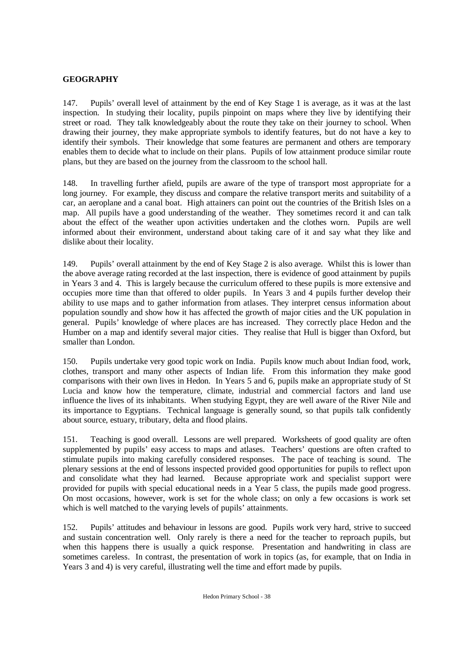# **GEOGRAPHY**

147. Pupils' overall level of attainment by the end of Key Stage 1 is average, as it was at the last inspection. In studying their locality, pupils pinpoint on maps where they live by identifying their street or road. They talk knowledgeably about the route they take on their journey to school. When drawing their journey, they make appropriate symbols to identify features, but do not have a key to identify their symbols. Their knowledge that some features are permanent and others are temporary enables them to decide what to include on their plans. Pupils of low attainment produce similar route plans, but they are based on the journey from the classroom to the school hall.

148. In travelling further afield, pupils are aware of the type of transport most appropriate for a long journey. For example, they discuss and compare the relative transport merits and suitability of a car, an aeroplane and a canal boat. High attainers can point out the countries of the British Isles on a map. All pupils have a good understanding of the weather. They sometimes record it and can talk about the effect of the weather upon activities undertaken and the clothes worn. Pupils are well informed about their environment, understand about taking care of it and say what they like and dislike about their locality.

149. Pupils' overall attainment by the end of Key Stage 2 is also average. Whilst this is lower than the above average rating recorded at the last inspection, there is evidence of good attainment by pupils in Years 3 and 4. This is largely because the curriculum offered to these pupils is more extensive and occupies more time than that offered to older pupils. In Years 3 and 4 pupils further develop their ability to use maps and to gather information from atlases. They interpret census information about population soundly and show how it has affected the growth of major cities and the UK population in general. Pupils' knowledge of where places are has increased. They correctly place Hedon and the Humber on a map and identify several major cities. They realise that Hull is bigger than Oxford, but smaller than London.

150. Pupils undertake very good topic work on India. Pupils know much about Indian food, work, clothes, transport and many other aspects of Indian life. From this information they make good comparisons with their own lives in Hedon. In Years 5 and 6, pupils make an appropriate study of St Lucia and know how the temperature, climate, industrial and commercial factors and land use influence the lives of its inhabitants. When studying Egypt, they are well aware of the River Nile and its importance to Egyptians. Technical language is generally sound, so that pupils talk confidently about source, estuary, tributary, delta and flood plains.

151. Teaching is good overall. Lessons are well prepared. Worksheets of good quality are often supplemented by pupils' easy access to maps and atlases. Teachers' questions are often crafted to stimulate pupils into making carefully considered responses. The pace of teaching is sound. The plenary sessions at the end of lessons inspected provided good opportunities for pupils to reflect upon and consolidate what they had learned. Because appropriate work and specialist support were provided for pupils with special educational needs in a Year 5 class, the pupils made good progress. On most occasions, however, work is set for the whole class; on only a few occasions is work set which is well matched to the varying levels of pupils' attainments.

152. Pupils' attitudes and behaviour in lessons are good. Pupils work very hard, strive to succeed and sustain concentration well. Only rarely is there a need for the teacher to reproach pupils, but when this happens there is usually a quick response. Presentation and handwriting in class are sometimes careless. In contrast, the presentation of work in topics (as, for example, that on India in Years 3 and 4) is very careful, illustrating well the time and effort made by pupils.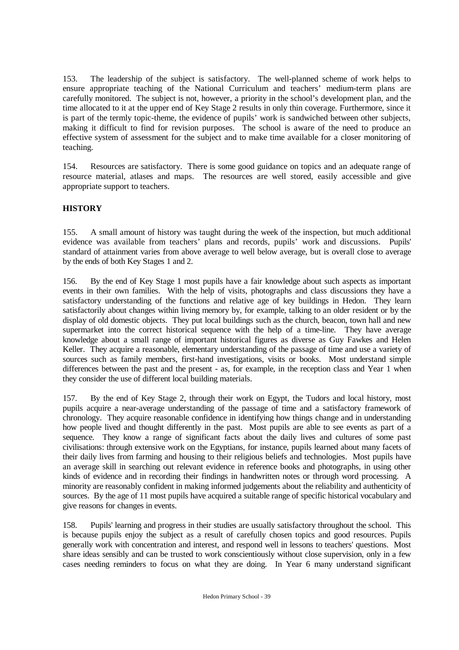153. The leadership of the subject is satisfactory. The well-planned scheme of work helps to ensure appropriate teaching of the National Curriculum and teachers' medium-term plans are carefully monitored. The subject is not, however, a priority in the school's development plan, and the time allocated to it at the upper end of Key Stage 2 results in only thin coverage. Furthermore, since it is part of the termly topic-theme, the evidence of pupils' work is sandwiched between other subjects, making it difficult to find for revision purposes. The school is aware of the need to produce an effective system of assessment for the subject and to make time available for a closer monitoring of teaching.

154. Resources are satisfactory. There is some good guidance on topics and an adequate range of resource material, atlases and maps. The resources are well stored, easily accessible and give appropriate support to teachers.

# **HISTORY**

155. A small amount of history was taught during the week of the inspection, but much additional evidence was available from teachers' plans and records, pupils' work and discussions. Pupils' standard of attainment varies from above average to well below average, but is overall close to average by the ends of both Key Stages 1 and 2.

156. By the end of Key Stage 1 most pupils have a fair knowledge about such aspects as important events in their own families. With the help of visits, photographs and class discussions they have a satisfactory understanding of the functions and relative age of key buildings in Hedon. They learn satisfactorily about changes within living memory by, for example, talking to an older resident or by the display of old domestic objects. They put local buildings such as the church, beacon, town hall and new supermarket into the correct historical sequence with the help of a time-line. They have average knowledge about a small range of important historical figures as diverse as Guy Fawkes and Helen Keller. They acquire a reasonable, elementary understanding of the passage of time and use a variety of sources such as family members, first-hand investigations, visits or books. Most understand simple differences between the past and the present - as, for example, in the reception class and Year 1 when they consider the use of different local building materials.

157. By the end of Key Stage 2, through their work on Egypt, the Tudors and local history, most pupils acquire a near-average understanding of the passage of time and a satisfactory framework of chronology. They acquire reasonable confidence in identifying how things change and in understanding how people lived and thought differently in the past. Most pupils are able to see events as part of a sequence. They know a range of significant facts about the daily lives and cultures of some past civilisations: through extensive work on the Egyptians, for instance, pupils learned about many facets of their daily lives from farming and housing to their religious beliefs and technologies. Most pupils have an average skill in searching out relevant evidence in reference books and photographs, in using other kinds of evidence and in recording their findings in handwritten notes or through word processing. A minority are reasonably confident in making informed judgements about the reliability and authenticity of sources. By the age of 11 most pupils have acquired a suitable range of specific historical vocabulary and give reasons for changes in events.

158. Pupils' learning and progress in their studies are usually satisfactory throughout the school. This is because pupils enjoy the subject as a result of carefully chosen topics and good resources. Pupils generally work with concentration and interest, and respond well in lessons to teachers' questions. Most share ideas sensibly and can be trusted to work conscientiously without close supervision, only in a few cases needing reminders to focus on what they are doing. In Year 6 many understand significant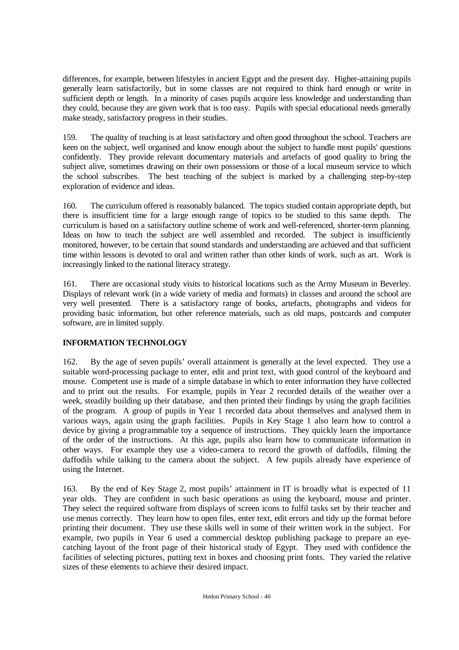differences, for example, between lifestyles in ancient Egypt and the present day. Higher-attaining pupils generally learn satisfactorily, but in some classes are not required to think hard enough or write in sufficient depth or length. In a minority of cases pupils acquire less knowledge and understanding than they could, because they are given work that is too easy. Pupils with special educational needs generally make steady, satisfactory progress in their studies.

159. The quality of teaching is at least satisfactory and often good throughout the school. Teachers are keen on the subject, well organised and know enough about the subject to handle most pupils' questions confidently. They provide relevant documentary materials and artefacts of good quality to bring the subject alive, sometimes drawing on their own possessions or those of a local museum service to which the school subscribes. The best teaching of the subject is marked by a challenging step-by-step exploration of evidence and ideas.

160. The curriculum offered is reasonably balanced. The topics studied contain appropriate depth, but there is insufficient time for a large enough range of topics to be studied to this same depth. The curriculum is based on a satisfactory outline scheme of work and well-referenced, shorter-term planning. Ideas on how to teach the subject are well assembled and recorded. The subject is insufficiently monitored, however, to be certain that sound standards and understanding are achieved and that sufficient time within lessons is devoted to oral and written rather than other kinds of work. such as art. Work is increasingly linked to the national literacy strategy.

161. There are occasional study visits to historical locations such as the Army Museum in Beverley. Displays of relevant work (in a wide variety of media and formats) in classes and around the school are very well presented. There is a satisfactory range of books, artefacts, photographs and videos for providing basic information, but other reference materials, such as old maps, postcards and computer software, are in limited supply.

# **INFORMATION TECHNOLOGY**

162. By the age of seven pupils' overall attainment is generally at the level expected. They use a suitable word-processing package to enter, edit and print text, with good control of the keyboard and mouse. Competent use is made of a simple database in which to enter information they have collected and to print out the results. For example, pupils in Year 2 recorded details of the weather over a week, steadily building up their database, and then printed their findings by using the graph facilities of the program. A group of pupils in Year 1 recorded data about themselves and analysed them in various ways, again using the graph facilities. Pupils in Key Stage 1 also learn how to control a device by giving a programmable toy a sequence of instructions. They quickly learn the importance of the order of the instructions. At this age, pupils also learn how to communicate information in other ways. For example they use a video-camera to record the growth of daffodils, filming the daffodils while talking to the camera about the subject. A few pupils already have experience of using the Internet.

163. By the end of Key Stage 2, most pupils' attainment in IT is broadly what is expected of 11 year olds. They are confident in such basic operations as using the keyboard, mouse and printer. They select the required software from displays of screen icons to fulfil tasks set by their teacher and use menus correctly. They learn how to open files, enter text, edit errors and tidy up the format before printing their document. They use these skills well in some of their written work in the subject. For example, two pupils in Year 6 used a commercial desktop publishing package to prepare an eyecatching layout of the front page of their historical study of Egypt. They used with confidence the facilities of selecting pictures, putting text in boxes and choosing print fonts. They varied the relative sizes of these elements to achieve their desired impact.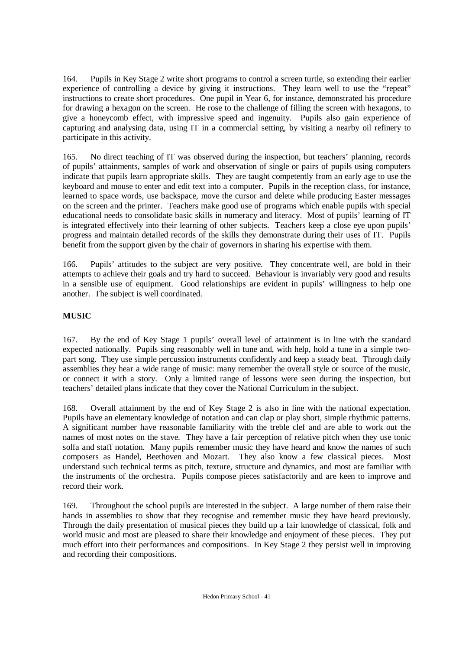164. Pupils in Key Stage 2 write short programs to control a screen turtle, so extending their earlier experience of controlling a device by giving it instructions. They learn well to use the "repeat" instructions to create short procedures. One pupil in Year 6, for instance, demonstrated his procedure for drawing a hexagon on the screen. He rose to the challenge of filling the screen with hexagons, to give a honeycomb effect, with impressive speed and ingenuity. Pupils also gain experience of capturing and analysing data, using IT in a commercial setting, by visiting a nearby oil refinery to participate in this activity.

165. No direct teaching of IT was observed during the inspection, but teachers' planning, records of pupils' attainments, samples of work and observation of single or pairs of pupils using computers indicate that pupils learn appropriate skills. They are taught competently from an early age to use the keyboard and mouse to enter and edit text into a computer. Pupils in the reception class, for instance, learned to space words, use backspace, move the cursor and delete while producing Easter messages on the screen and the printer. Teachers make good use of programs which enable pupils with special educational needs to consolidate basic skills in numeracy and literacy. Most of pupils' learning of IT is integrated effectively into their learning of other subjects. Teachers keep a close eye upon pupils' progress and maintain detailed records of the skills they demonstrate during their uses of IT. Pupils benefit from the support given by the chair of governors in sharing his expertise with them.

166. Pupils' attitudes to the subject are very positive. They concentrate well, are bold in their attempts to achieve their goals and try hard to succeed. Behaviour is invariably very good and results in a sensible use of equipment. Good relationships are evident in pupils' willingness to help one another. The subject is well coordinated.

# **MUSIC**

167. By the end of Key Stage 1 pupils' overall level of attainment is in line with the standard expected nationally. Pupils sing reasonably well in tune and, with help, hold a tune in a simple twopart song. They use simple percussion instruments confidently and keep a steady beat. Through daily assemblies they hear a wide range of music: many remember the overall style or source of the music, or connect it with a story. Only a limited range of lessons were seen during the inspection, but teachers' detailed plans indicate that they cover the National Curriculum in the subject.

168. Overall attainment by the end of Key Stage 2 is also in line with the national expectation. Pupils have an elementary knowledge of notation and can clap or play short, simple rhythmic patterns. A significant number have reasonable familiarity with the treble clef and are able to work out the names of most notes on the stave. They have a fair perception of relative pitch when they use tonic solfa and staff notation. Many pupils remember music they have heard and know the names of such composers as Handel, Beethoven and Mozart. They also know a few classical pieces. Most understand such technical terms as pitch, texture, structure and dynamics, and most are familiar with the instruments of the orchestra. Pupils compose pieces satisfactorily and are keen to improve and record their work.

169. Throughout the school pupils are interested in the subject. A large number of them raise their hands in assemblies to show that they recognise and remember music they have heard previously. Through the daily presentation of musical pieces they build up a fair knowledge of classical, folk and world music and most are pleased to share their knowledge and enjoyment of these pieces. They put much effort into their performances and compositions. In Key Stage 2 they persist well in improving and recording their compositions.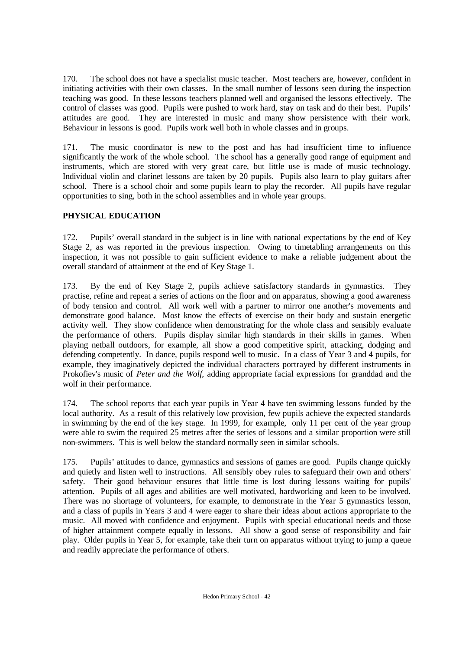170. The school does not have a specialist music teacher. Most teachers are, however, confident in initiating activities with their own classes. In the small number of lessons seen during the inspection teaching was good. In these lessons teachers planned well and organised the lessons effectively. The control of classes was good. Pupils were pushed to work hard, stay on task and do their best. Pupils' attitudes are good. They are interested in music and many show persistence with their work. Behaviour in lessons is good. Pupils work well both in whole classes and in groups.

171. The music coordinator is new to the post and has had insufficient time to influence significantly the work of the whole school. The school has a generally good range of equipment and instruments, which are stored with very great care, but little use is made of music technology. Individual violin and clarinet lessons are taken by 20 pupils. Pupils also learn to play guitars after school. There is a school choir and some pupils learn to play the recorder. All pupils have regular opportunities to sing, both in the school assemblies and in whole year groups.

# **PHYSICAL EDUCATION**

172. Pupils' overall standard in the subject is in line with national expectations by the end of Key Stage 2, as was reported in the previous inspection. Owing to timetabling arrangements on this inspection, it was not possible to gain sufficient evidence to make a reliable judgement about the overall standard of attainment at the end of Key Stage 1.

173. By the end of Key Stage 2, pupils achieve satisfactory standards in gymnastics. They practise, refine and repeat a series of actions on the floor and on apparatus, showing a good awareness of body tension and control. All work well with a partner to mirror one another's movements and demonstrate good balance. Most know the effects of exercise on their body and sustain energetic activity well. They show confidence when demonstrating for the whole class and sensibly evaluate the performance of others. Pupils display similar high standards in their skills in games. When playing netball outdoors, for example, all show a good competitive spirit, attacking, dodging and defending competently. In dance, pupils respond well to music. In a class of Year 3 and 4 pupils, for example, they imaginatively depicted the individual characters portrayed by different instruments in Prokofiev's music of *Peter and the Wolf*, adding appropriate facial expressions for granddad and the wolf in their performance.

174. The school reports that each year pupils in Year 4 have ten swimming lessons funded by the local authority. As a result of this relatively low provision, few pupils achieve the expected standards in swimming by the end of the key stage. In 1999, for example, only 11 per cent of the year group were able to swim the required 25 metres after the series of lessons and a similar proportion were still non-swimmers. This is well below the standard normally seen in similar schools.

175. Pupils' attitudes to dance, gymnastics and sessions of games are good. Pupils change quickly and quietly and listen well to instructions. All sensibly obey rules to safeguard their own and others' safety. Their good behaviour ensures that little time is lost during lessons waiting for pupils' attention. Pupils of all ages and abilities are well motivated, hardworking and keen to be involved. There was no shortage of volunteers, for example, to demonstrate in the Year 5 gymnastics lesson, and a class of pupils in Years 3 and 4 were eager to share their ideas about actions appropriate to the music. All moved with confidence and enjoyment. Pupils with special educational needs and those of higher attainment compete equally in lessons. All show a good sense of responsibility and fair play. Older pupils in Year 5, for example, take their turn on apparatus without trying to jump a queue and readily appreciate the performance of others.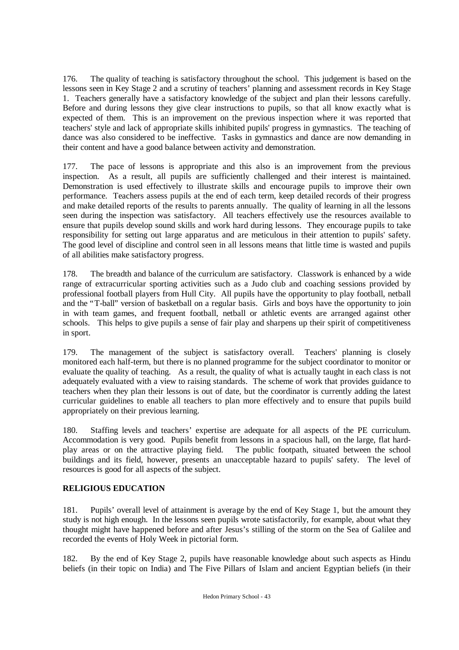176. The quality of teaching is satisfactory throughout the school. This judgement is based on the lessons seen in Key Stage 2 and a scrutiny of teachers' planning and assessment records in Key Stage 1. Teachers generally have a satisfactory knowledge of the subject and plan their lessons carefully. Before and during lessons they give clear instructions to pupils, so that all know exactly what is expected of them. This is an improvement on the previous inspection where it was reported that teachers' style and lack of appropriate skills inhibited pupils' progress in gymnastics. The teaching of dance was also considered to be ineffective. Tasks in gymnastics and dance are now demanding in their content and have a good balance between activity and demonstration.

177. The pace of lessons is appropriate and this also is an improvement from the previous inspection. As a result, all pupils are sufficiently challenged and their interest is maintained. Demonstration is used effectively to illustrate skills and encourage pupils to improve their own performance. Teachers assess pupils at the end of each term, keep detailed records of their progress and make detailed reports of the results to parents annually. The quality of learning in all the lessons seen during the inspection was satisfactory. All teachers effectively use the resources available to ensure that pupils develop sound skills and work hard during lessons. They encourage pupils to take responsibility for setting out large apparatus and are meticulous in their attention to pupils' safety. The good level of discipline and control seen in all lessons means that little time is wasted and pupils of all abilities make satisfactory progress.

178. The breadth and balance of the curriculum are satisfactory. Classwork is enhanced by a wide range of extracurricular sporting activities such as a Judo club and coaching sessions provided by professional football players from Hull City. All pupils have the opportunity to play football, netball and the "T-ball" version of basketball on a regular basis. Girls and boys have the opportunity to join in with team games, and frequent football, netball or athletic events are arranged against other schools. This helps to give pupils a sense of fair play and sharpens up their spirit of competitiveness in sport.

179. The management of the subject is satisfactory overall. Teachers' planning is closely monitored each half-term, but there is no planned programme for the subject coordinator to monitor or evaluate the quality of teaching. As a result, the quality of what is actually taught in each class is not adequately evaluated with a view to raising standards. The scheme of work that provides guidance to teachers when they plan their lessons is out of date, but the coordinator is currently adding the latest curricular guidelines to enable all teachers to plan more effectively and to ensure that pupils build appropriately on their previous learning.

180. Staffing levels and teachers' expertise are adequate for all aspects of the PE curriculum. Accommodation is very good. Pupils benefit from lessons in a spacious hall, on the large, flat hardplay areas or on the attractive playing field. The public footpath, situated between the school buildings and its field, however, presents an unacceptable hazard to pupils' safety. The level of resources is good for all aspects of the subject.

# **RELIGIOUS EDUCATION**

181. Pupils' overall level of attainment is average by the end of Key Stage 1, but the amount they study is not high enough. In the lessons seen pupils wrote satisfactorily, for example, about what they thought might have happened before and after Jesus's stilling of the storm on the Sea of Galilee and recorded the events of Holy Week in pictorial form.

182. By the end of Key Stage 2, pupils have reasonable knowledge about such aspects as Hindu beliefs (in their topic on India) and The Five Pillars of Islam and ancient Egyptian beliefs (in their